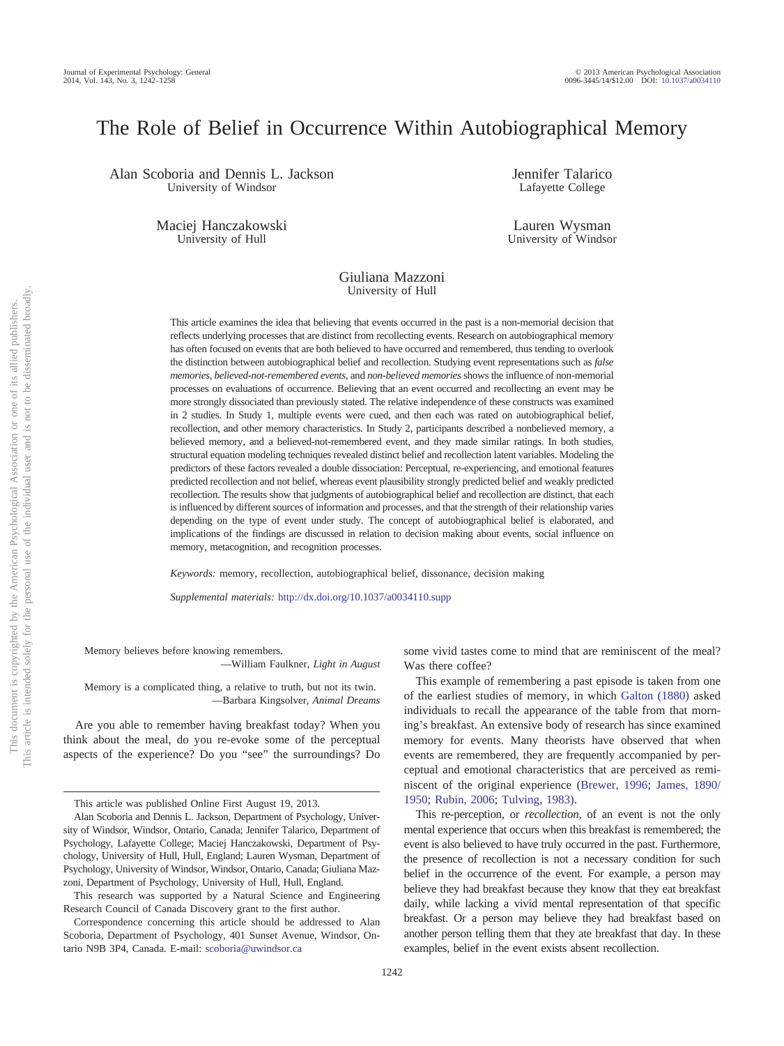# The Role of Belief in Occurrence Within Autobiographical Memory

Alan Scoboria and Dennis L. Jackson University of Windsor

> Maciej Hanczakowski University of Hull

Jennifer Talarico Lafayette College

Lauren Wysman University of Windsor

#### Giuliana Mazzoni University of Hull

This article examines the idea that believing that events occurred in the past is a non-memorial decision that reflects underlying processes that are distinct from recollecting events. Research on autobiographical memory has often focused on events that are both believed to have occurred and remembered, thus tending to overlook the distinction between autobiographical belief and recollection. Studying event representations such as *false memories*, *believed-not-remembered events*, and *non-believed memories* shows the influence of non-memorial processes on evaluations of occurrence. Believing that an event occurred and recollecting an event may be more strongly dissociated than previously stated. The relative independence of these constructs was examined in 2 studies. In Study 1, multiple events were cued, and then each was rated on autobiographical belief, recollection, and other memory characteristics. In Study 2, participants described a nonbelieved memory, a believed memory, and a believed-not-remembered event, and they made similar ratings. In both studies, structural equation modeling techniques revealed distinct belief and recollection latent variables. Modeling the predictors of these factors revealed a double dissociation: Perceptual, re-experiencing, and emotional features predicted recollection and not belief, whereas event plausibility strongly predicted belief and weakly predicted recollection. The results show that judgments of autobiographical belief and recollection are distinct, that each is influenced by different sources of information and processes, and that the strength of their relationship varies depending on the type of event under study. The concept of autobiographical belief is elaborated, and implications of the findings are discussed in relation to decision making about events, social influence on memory, metacognition, and recognition processes.

*Keywords:* memory, recollection, autobiographical belief, dissonance, decision making

*Supplemental materials:* http://dx.doi.org[/10.1037/a0034110.supp](http://dx.doi.org/10.1037/a0034110.supp)

Memory believes before knowing remembers.

—William Faulkner, *Light in August*

Memory is a complicated thing, a relative to truth, but not its twin. —Barbara Kingsolver, *Animal Dreams*

Are you able to remember having breakfast today? When you think about the meal, do you re-evoke some of the perceptual aspects of the experience? Do you "see" the surroundings? Do

This research was supported by a Natural Science and Engineering Research Council of Canada Discovery grant to the first author.

some vivid tastes come to mind that are reminiscent of the meal? Was there coffee?

This example of remembering a past episode is taken from one of the earliest studies of memory, in which [Galton \(1880\)](#page-14-0) asked individuals to recall the appearance of the table from that morning's breakfast. An extensive body of research has since examined memory for events. Many theorists have observed that when events are remembered, they are frequently accompanied by perceptual and emotional characteristics that are perceived as reminiscent of the original experience [\(Brewer, 1996;](#page-13-0) [James, 1890/](#page-14-1) [1950;](#page-14-1) [Rubin, 2006;](#page-15-0) [Tulving, 1983\).](#page-16-0)

This re-perception, or *recollection*, of an event is not the only mental experience that occurs when this breakfast is remembered; the event is also believed to have truly occurred in the past. Furthermore, the presence of recollection is not a necessary condition for such belief in the occurrence of the event. For example, a person may believe they had breakfast because they know that they eat breakfast daily, while lacking a vivid mental representation of that specific breakfast. Or a person may believe they had breakfast based on another person telling them that they ate breakfast that day. In these examples, belief in the event exists absent recollection.

This article was published Online First August 19, 2013.

Alan Scoboria and Dennis L. Jackson, Department of Psychology, University of Windsor, Windsor, Ontario, Canada; Jennifer Talarico, Department of Psychology, Lafayette College; Maciej Hanczakowski, Department of Psychology, University of Hull, Hull, England; Lauren Wysman, Department of Psychology, University of Windsor, Windsor, Ontario, Canada; Giuliana Mazzoni, Department of Psychology, University of Hull, Hull, England.

Correspondence concerning this article should be addressed to Alan Scoboria, Department of Psychology, 401 Sunset Avenue, Windsor, Ontario N9B 3P4, Canada. E-mail: [scoboria@uwindsor.ca](mailto:scoboria@uwindsor.ca)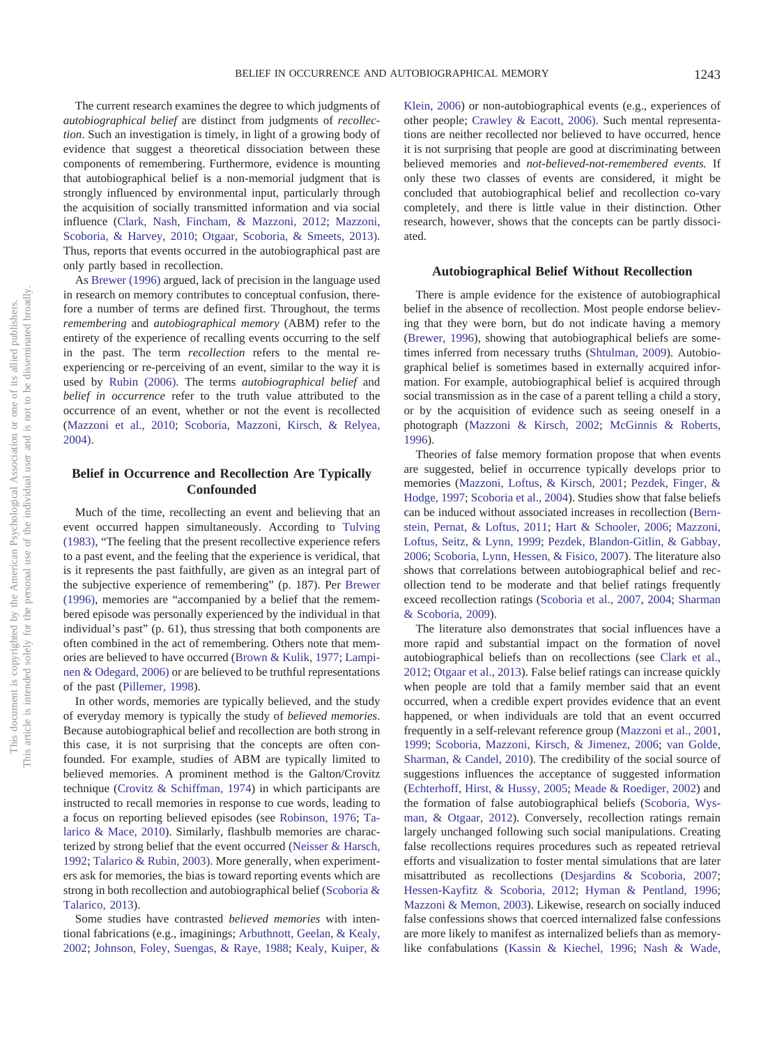The current research examines the degree to which judgments of *autobiographical belief* are distinct from judgments of *recollection*. Such an investigation is timely, in light of a growing body of evidence that suggest a theoretical dissociation between these components of remembering. Furthermore, evidence is mounting that autobiographical belief is a non-memorial judgment that is strongly influenced by environmental input, particularly through the acquisition of socially transmitted information and via social influence [\(Clark, Nash, Fincham, & Mazzoni, 2012;](#page-13-1) [Mazzoni,](#page-15-1) [Scoboria, & Harvey, 2010;](#page-15-1) [Otgaar, Scoboria, & Smeets, 2013\).](#page-15-2) Thus, reports that events occurred in the autobiographical past are only partly based in recollection.

As [Brewer \(1996\)](#page-13-0) argued, lack of precision in the language used in research on memory contributes to conceptual confusion, therefore a number of terms are defined first. Throughout, the terms *remembering* and *autobiographical memory* (ABM) refer to the entirety of the experience of recalling events occurring to the self in the past. The term *recollection* refers to the mental reexperiencing or re-perceiving of an event, similar to the way it is used by [Rubin \(2006\).](#page-15-0) The terms *autobiographical belief* and *belief in occurrence* refer to the truth value attributed to the occurrence of an event, whether or not the event is recollected [\(Mazzoni et al., 2010;](#page-15-1) [Scoboria, Mazzoni, Kirsch, & Relyea,](#page-15-3) [2004\).](#page-15-3)

# **Belief in Occurrence and Recollection Are Typically Confounded**

Much of the time, recollecting an event and believing that an event occurred happen simultaneously. According to [Tulving](#page-16-0) [\(1983\),](#page-16-0) "The feeling that the present recollective experience refers to a past event, and the feeling that the experience is veridical, that is it represents the past faithfully, are given as an integral part of the subjective experience of remembering" (p. 187). Per [Brewer](#page-13-0) [\(1996\),](#page-13-0) memories are "accompanied by a belief that the remembered episode was personally experienced by the individual in that individual's past" (p. 61), thus stressing that both components are often combined in the act of remembering. Others note that memories are believed to have occurred [\(Brown & Kulik, 1977;](#page-13-2) [Lampi](#page-14-2)[nen & Odegard, 2006\)](#page-14-2) or are believed to be truthful representations of the past [\(Pillemer, 1998\)](#page-15-4).

In other words, memories are typically believed, and the study of everyday memory is typically the study of *believed memories*. Because autobiographical belief and recollection are both strong in this case, it is not surprising that the concepts are often confounded. For example, studies of ABM are typically limited to believed memories. A prominent method is the Galton/Crovitz technique [\(Crovitz & Schiffman, 1974\)](#page-14-3) in which participants are instructed to recall memories in response to cue words, leading to a focus on reporting believed episodes (see [Robinson, 1976;](#page-15-5) [Ta](#page-15-6)[larico & Mace, 2010\)](#page-15-6). Similarly, flashbulb memories are characterized by strong belief that the event occurred [\(Neisser & Harsch,](#page-15-7) [1992;](#page-15-7) [Talarico & Rubin, 2003\).](#page-16-1) More generally, when experimenters ask for memories, the bias is toward reporting events which are strong in both recollection and autobiographical belief [\(Scoboria &](#page-15-8) [Talarico, 2013\)](#page-15-8).

Some studies have contrasted *believed memories* with intentional fabrications (e.g., imaginings; [Arbuthnott, Geelan, & Kealy,](#page-13-3) [2002;](#page-13-3) [Johnson, Foley, Suengas, & Raye, 1988;](#page-14-4) [Kealy, Kuiper, &](#page-14-5)

[Klein, 2006\)](#page-14-5) or non-autobiographical events (e.g., experiences of other people; [Crawley & Eacott, 2006\).](#page-14-6) Such mental representations are neither recollected nor believed to have occurred, hence it is not surprising that people are good at discriminating between believed memories and *not-believed-not-remembered events.* If only these two classes of events are considered, it might be concluded that autobiographical belief and recollection co-vary completely, and there is little value in their distinction. Other research, however, shows that the concepts can be partly dissociated.

## **Autobiographical Belief Without Recollection**

There is ample evidence for the existence of autobiographical belief in the absence of recollection. Most people endorse believing that they were born, but do not indicate having a memory [\(Brewer, 1996\)](#page-13-0), showing that autobiographical beliefs are sometimes inferred from necessary truths [\(Shtulman, 2009\)](#page-15-9). Autobiographical belief is sometimes based in externally acquired information. For example, autobiographical belief is acquired through social transmission as in the case of a parent telling a child a story, or by the acquisition of evidence such as seeing oneself in a photograph [\(Mazzoni & Kirsch, 2002;](#page-15-10) [McGinnis & Roberts,](#page-15-11) [1996\)](#page-15-11).

Theories of false memory formation propose that when events are suggested, belief in occurrence typically develops prior to memories [\(Mazzoni, Loftus, & Kirsch, 2001;](#page-15-12) [Pezdek, Finger, &](#page-15-13) [Hodge, 1997;](#page-15-13) [Scoboria et al., 2004\)](#page-15-3). Studies show that false beliefs can be induced without associated increases in recollection [\(Bern](#page-13-4)[stein, Pernat, & Loftus, 2011;](#page-13-4) [Hart & Schooler, 2006;](#page-14-7) [Mazzoni,](#page-15-14) [Loftus, Seitz, & Lynn, 1999;](#page-15-14) [Pezdek, Blandon-Gitlin, & Gabbay,](#page-15-15) [2006;](#page-15-15) [Scoboria, Lynn, Hessen, & Fisico, 2007\)](#page-15-16). The literature also shows that correlations between autobiographical belief and recollection tend to be moderate and that belief ratings frequently exceed recollection ratings [\(Scoboria et al., 2007,](#page-15-16) [2004;](#page-15-3) [Sharman](#page-15-17) [& Scoboria, 2009\)](#page-15-17).

The literature also demonstrates that social influences have a more rapid and substantial impact on the formation of novel autobiographical beliefs than on recollections (see [Clark et al.,](#page-13-1) [2012;](#page-13-1) [Otgaar et al., 2013\)](#page-15-2). False belief ratings can increase quickly when people are told that a family member said that an event occurred, when a credible expert provides evidence that an event happened, or when individuals are told that an event occurred frequently in a self-relevant reference group [\(Mazzoni et al., 2001,](#page-15-12) [1999;](#page-15-14) [Scoboria, Mazzoni, Kirsch, & Jimenez, 2006;](#page-15-18) [van Golde,](#page-16-2) [Sharman, & Candel, 2010\)](#page-16-2). The credibility of the social source of suggestions influences the acceptance of suggested information [\(Echterhoff, Hirst, & Hussy, 2005;](#page-14-8) [Meade & Roediger, 2002\)](#page-15-19) and the formation of false autobiographical beliefs [\(Scoboria, Wys](#page-15-20)[man, & Otgaar, 2012\)](#page-15-20). Conversely, recollection ratings remain largely unchanged following such social manipulations. Creating false recollections requires procedures such as repeated retrieval efforts and visualization to foster mental simulations that are later misattributed as recollections [\(Desjardins & Scoboria, 2007;](#page-14-9) [Hessen-Kayfitz & Scoboria, 2012;](#page-14-10) [Hyman & Pentland, 1996;](#page-14-11) [Mazzoni & Memon, 2003\)](#page-15-21). Likewise, research on socially induced false confessions shows that coerced internalized false confessions are more likely to manifest as internalized beliefs than as memorylike confabulations [\(Kassin & Kiechel, 1996;](#page-14-12) [Nash & Wade,](#page-15-22)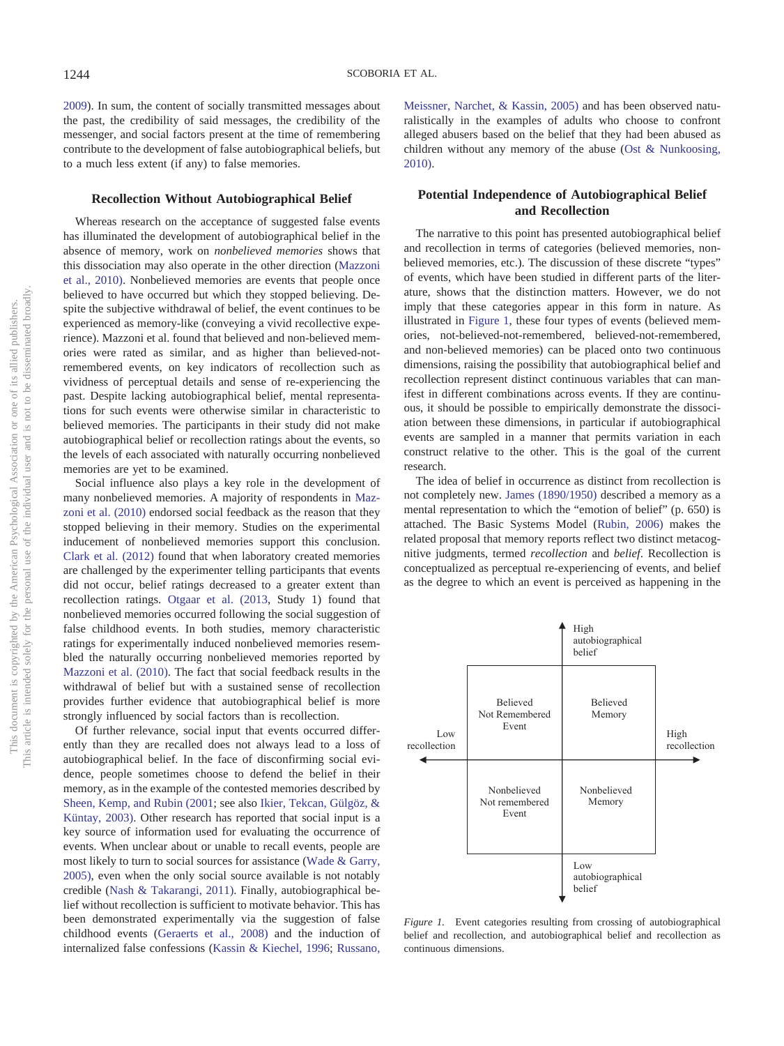[2009\)](#page-15-22). In sum, the content of socially transmitted messages about the past, the credibility of said messages, the credibility of the messenger, and social factors present at the time of remembering contribute to the development of false autobiographical beliefs, but to a much less extent (if any) to false memories.

## **Recollection Without Autobiographical Belief**

Whereas research on the acceptance of suggested false events has illuminated the development of autobiographical belief in the absence of memory, work on *nonbelieved memories* shows that this dissociation may also operate in the other direction [\(Mazzoni](#page-15-1) [et al., 2010\).](#page-15-1) Nonbelieved memories are events that people once believed to have occurred but which they stopped believing. Despite the subjective withdrawal of belief, the event continues to be experienced as memory-like (conveying a vivid recollective experience). Mazzoni et al. found that believed and non-believed memories were rated as similar, and as higher than believed-notremembered events, on key indicators of recollection such as vividness of perceptual details and sense of re-experiencing the past. Despite lacking autobiographical belief, mental representations for such events were otherwise similar in characteristic to believed memories. The participants in their study did not make autobiographical belief or recollection ratings about the events, so the levels of each associated with naturally occurring nonbelieved memories are yet to be examined.

Social influence also plays a key role in the development of many nonbelieved memories. A majority of respondents in [Maz](#page-15-1)[zoni et al. \(2010\)](#page-15-1) endorsed social feedback as the reason that they stopped believing in their memory. Studies on the experimental inducement of nonbelieved memories support this conclusion. [Clark et al. \(2012\)](#page-13-1) found that when laboratory created memories are challenged by the experimenter telling participants that events did not occur, belief ratings decreased to a greater extent than recollection ratings. [Otgaar et al. \(2013,](#page-15-2) Study 1) found that nonbelieved memories occurred following the social suggestion of false childhood events. In both studies, memory characteristic ratings for experimentally induced nonbelieved memories resembled the naturally occurring nonbelieved memories reported by [Mazzoni et al. \(2010\).](#page-15-1) The fact that social feedback results in the withdrawal of belief but with a sustained sense of recollection provides further evidence that autobiographical belief is more strongly influenced by social factors than is recollection.

Of further relevance, social input that events occurred differently than they are recalled does not always lead to a loss of autobiographical belief. In the face of disconfirming social evidence, people sometimes choose to defend the belief in their memory, as in the example of the contested memories described by [Sheen, Kemp, and Rubin \(2001;](#page-15-23) see also [Ikier, Tekcan, Gülgöz, &](#page-14-13) [Küntay, 2003\).](#page-14-13) Other research has reported that social input is a key source of information used for evaluating the occurrence of events. When unclear about or unable to recall events, people are most likely to turn to social sources for assistance [\(Wade & Garry,](#page-16-3) [2005\),](#page-16-3) even when the only social source available is not notably credible [\(Nash & Takarangi, 2011\).](#page-15-24) Finally, autobiographical belief without recollection is sufficient to motivate behavior. This has been demonstrated experimentally via the suggestion of false childhood events [\(Geraerts et al., 2008\)](#page-14-14) and the induction of internalized false confessions [\(Kassin & Kiechel, 1996;](#page-14-12) [Russano,](#page-15-25)

[Meissner, Narchet, & Kassin, 2005\)](#page-15-25) and has been observed naturalistically in the examples of adults who choose to confront alleged abusers based on the belief that they had been abused as children without any memory of the abuse [\(Ost & Nunkoosing,](#page-15-26) [2010\).](#page-15-26)

# **Potential Independence of Autobiographical Belief and Recollection**

The narrative to this point has presented autobiographical belief and recollection in terms of categories (believed memories, nonbelieved memories, etc.). The discussion of these discrete "types" of events, which have been studied in different parts of the literature, shows that the distinction matters. However, we do not imply that these categories appear in this form in nature. As illustrated in [Figure 1,](#page-2-0) these four types of events (believed memories, not-believed-not-remembered, believed-not-remembered, and non-believed memories) can be placed onto two continuous dimensions, raising the possibility that autobiographical belief and recollection represent distinct continuous variables that can manifest in different combinations across events. If they are continuous, it should be possible to empirically demonstrate the dissociation between these dimensions, in particular if autobiographical events are sampled in a manner that permits variation in each construct relative to the other. This is the goal of the current research.

The idea of belief in occurrence as distinct from recollection is not completely new. [James \(1890/1950\)](#page-14-1) described a memory as a mental representation to which the "emotion of belief" (p. 650) is attached. The Basic Systems Model [\(Rubin, 2006\)](#page-15-0) makes the related proposal that memory reports reflect two distinct metacognitive judgments, termed *recollection* and *belief*. Recollection is conceptualized as perceptual re-experiencing of events, and belief as the degree to which an event is perceived as happening in the



<span id="page-2-0"></span>*Figure 1.* Event categories resulting from crossing of autobiographical belief and recollection, and autobiographical belief and recollection as continuous dimensions.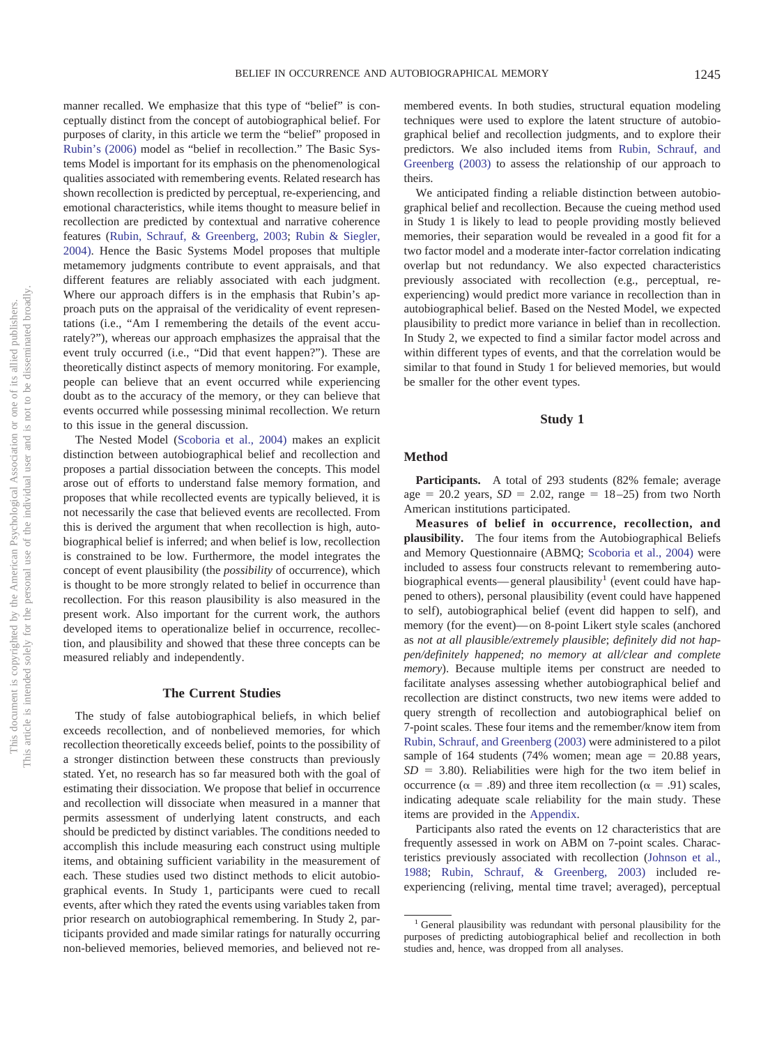manner recalled. We emphasize that this type of "belief" is conceptually distinct from the concept of autobiographical belief. For purposes of clarity, in this article we term the "belief" proposed in [Rubin's \(2006\)](#page-15-0) model as "belief in recollection." The Basic Systems Model is important for its emphasis on the phenomenological qualities associated with remembering events. Related research has shown recollection is predicted by perceptual, re-experiencing, and emotional characteristics, while items thought to measure belief in recollection are predicted by contextual and narrative coherence features [\(Rubin, Schrauf, & Greenberg, 2003;](#page-15-27) [Rubin & Siegler,](#page-15-28) [2004\).](#page-15-28) Hence the Basic Systems Model proposes that multiple metamemory judgments contribute to event appraisals, and that different features are reliably associated with each judgment. Where our approach differs is in the emphasis that Rubin's approach puts on the appraisal of the veridicality of event representations (i.e., "Am I remembering the details of the event accurately?"), whereas our approach emphasizes the appraisal that the event truly occurred (i.e., "Did that event happen?"). These are theoretically distinct aspects of memory monitoring. For example, people can believe that an event occurred while experiencing doubt as to the accuracy of the memory, or they can believe that events occurred while possessing minimal recollection. We return to this issue in the general discussion.

The Nested Model [\(Scoboria et al., 2004\)](#page-15-3) makes an explicit distinction between autobiographical belief and recollection and proposes a partial dissociation between the concepts. This model arose out of efforts to understand false memory formation, and proposes that while recollected events are typically believed, it is not necessarily the case that believed events are recollected. From this is derived the argument that when recollection is high, autobiographical belief is inferred; and when belief is low, recollection is constrained to be low. Furthermore, the model integrates the concept of event plausibility (the *possibility* of occurrence), which is thought to be more strongly related to belief in occurrence than recollection. For this reason plausibility is also measured in the present work. Also important for the current work, the authors developed items to operationalize belief in occurrence, recollection, and plausibility and showed that these three concepts can be measured reliably and independently.

#### **The Current Studies**

The study of false autobiographical beliefs, in which belief exceeds recollection, and of nonbelieved memories, for which recollection theoretically exceeds belief, points to the possibility of a stronger distinction between these constructs than previously stated. Yet, no research has so far measured both with the goal of estimating their dissociation. We propose that belief in occurrence and recollection will dissociate when measured in a manner that permits assessment of underlying latent constructs, and each should be predicted by distinct variables. The conditions needed to accomplish this include measuring each construct using multiple items, and obtaining sufficient variability in the measurement of each. These studies used two distinct methods to elicit autobiographical events. In Study 1, participants were cued to recall events, after which they rated the events using variables taken from prior research on autobiographical remembering. In Study 2, participants provided and made similar ratings for naturally occurring non-believed memories, believed memories, and believed not re-

membered events. In both studies, structural equation modeling techniques were used to explore the latent structure of autobiographical belief and recollection judgments, and to explore their predictors. We also included items from [Rubin, Schrauf, and](#page-15-27) [Greenberg \(2003\)](#page-15-27) to assess the relationship of our approach to theirs.

We anticipated finding a reliable distinction between autobiographical belief and recollection. Because the cueing method used in Study 1 is likely to lead to people providing mostly believed memories, their separation would be revealed in a good fit for a two factor model and a moderate inter-factor correlation indicating overlap but not redundancy. We also expected characteristics previously associated with recollection (e.g., perceptual, reexperiencing) would predict more variance in recollection than in autobiographical belief. Based on the Nested Model, we expected plausibility to predict more variance in belief than in recollection. In Study 2, we expected to find a similar factor model across and within different types of events, and that the correlation would be similar to that found in Study 1 for believed memories, but would be smaller for the other event types.

# **Study 1**

#### **Method**

Participants. A total of 293 students (82% female; average age  $= 20.2$  years,  $SD = 2.02$ , range  $= 18-25$ ) from two North American institutions participated.

**Measures of belief in occurrence, recollection, and plausibility.** The four items from the Autobiographical Beliefs and Memory Questionnaire (ABMQ; [Scoboria et al., 2004\)](#page-15-3) were included to assess four constructs relevant to remembering autobiographical events—general plausibility<sup>1</sup> (event could have happened to others), personal plausibility (event could have happened to self), autobiographical belief (event did happen to self), and memory (for the event)— on 8-point Likert style scales (anchored as *not at all plausible/extremely plausible*; *definitely did not happen/definitely happened*; *no memory at all/clear and complete memory*). Because multiple items per construct are needed to facilitate analyses assessing whether autobiographical belief and recollection are distinct constructs, two new items were added to query strength of recollection and autobiographical belief on 7-point scales. These four items and the remember/know item from [Rubin, Schrauf, and Greenberg \(2003\)](#page-15-27) were administered to a pilot sample of 164 students (74% women; mean age  $= 20.88$  years,  $SD = 3.80$ ). Reliabilities were high for the two item belief in occurrence ( $\alpha = .89$ ) and three item recollection ( $\alpha = .91$ ) scales, indicating adequate scale reliability for the main study. These items are provided in the [Appendix.](#page-16-4)

Participants also rated the events on 12 characteristics that are frequently assessed in work on ABM on 7-point scales. Characteristics previously associated with recollection [\(Johnson et al.,](#page-14-4) [1988;](#page-14-4) [Rubin, Schrauf, & Greenberg, 2003\)](#page-15-27) included reexperiencing (reliving, mental time travel; averaged), perceptual

<sup>&</sup>lt;sup>1</sup> General plausibility was redundant with personal plausibility for the purposes of predicting autobiographical belief and recollection in both studies and, hence, was dropped from all analyses.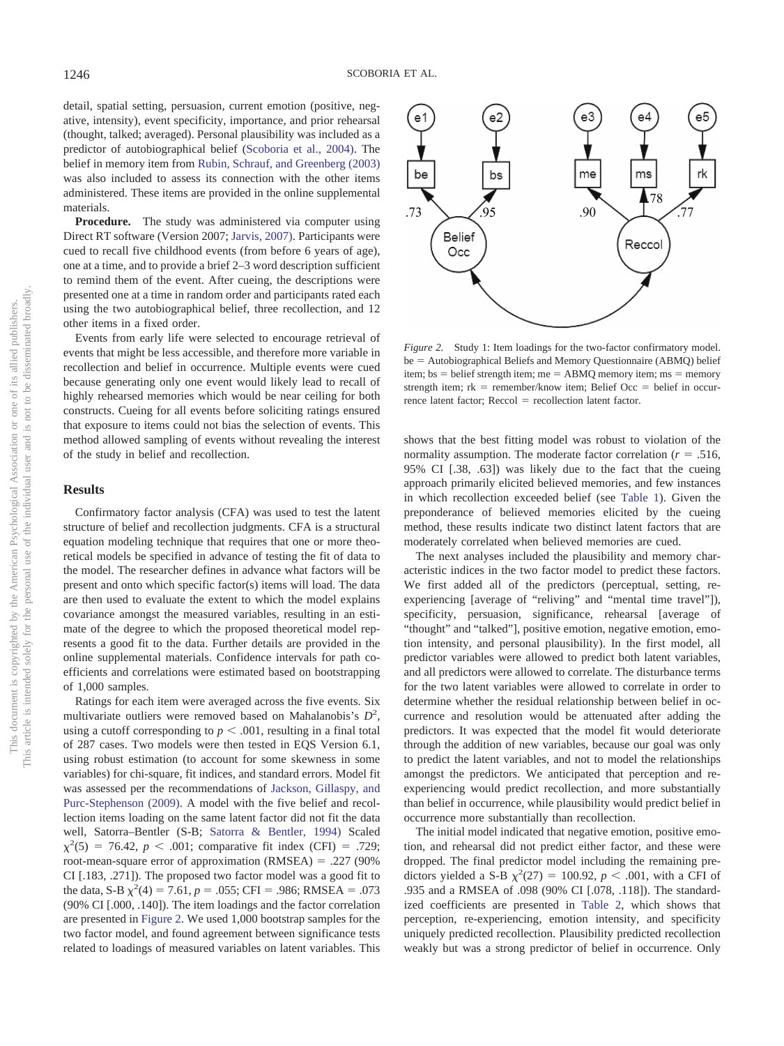detail, spatial setting, persuasion, current emotion (positive, negative, intensity), event specificity, importance, and prior rehearsal (thought, talked; averaged). Personal plausibility was included as a predictor of autobiographical belief [\(Scoboria et al., 2004\).](#page-15-3) The belief in memory item from [Rubin, Schrauf, and Greenberg \(2003\)](#page-15-27) was also included to assess its connection with the other items administered. These items are provided in the online supplemental materials.

**Procedure.** The study was administered via computer using Direct RT software (Version 2007; [Jarvis, 2007\).](#page-14-15) Participants were cued to recall five childhood events (from before 6 years of age), one at a time, and to provide a brief 2–3 word description sufficient to remind them of the event. After cueing, the descriptions were presented one at a time in random order and participants rated each using the two autobiographical belief, three recollection, and 12 other items in a fixed order.

Events from early life were selected to encourage retrieval of events that might be less accessible, and therefore more variable in recollection and belief in occurrence. Multiple events were cued because generating only one event would likely lead to recall of highly rehearsed memories which would be near ceiling for both constructs. Cueing for all events before soliciting ratings ensured that exposure to items could not bias the selection of events. This method allowed sampling of events without revealing the interest of the study in belief and recollection.

#### **Results**

Confirmatory factor analysis (CFA) was used to test the latent structure of belief and recollection judgments. CFA is a structural equation modeling technique that requires that one or more theoretical models be specified in advance of testing the fit of data to the model. The researcher defines in advance what factors will be present and onto which specific factor(s) items will load. The data are then used to evaluate the extent to which the model explains covariance amongst the measured variables, resulting in an estimate of the degree to which the proposed theoretical model represents a good fit to the data. Further details are provided in the online supplemental materials. Confidence intervals for path coefficients and correlations were estimated based on bootstrapping of 1,000 samples.

Ratings for each item were averaged across the five events. Six multivariate outliers were removed based on Mahalanobis's  $D^2$ , using a cutoff corresponding to  $p < .001$ , resulting in a final total of 287 cases. Two models were then tested in EQS Version 6.1, using robust estimation (to account for some skewness in some variables) for chi-square, fit indices, and standard errors. Model fit was assessed per the recommendations of [Jackson, Gillaspy, and](#page-14-16) [Purc-Stephenson \(2009\).](#page-14-16) A model with the five belief and recollection items loading on the same latent factor did not fit the data well, Satorra–Bentler (S-B; [Satorra & Bentler, 1994\)](#page-15-29) Scaled  $\chi^2(5) = 76.42$ ,  $p < .001$ ; comparative fit index (CFI) = .729; root-mean-square error of approximation  $(RMSEA) = .227$  (90%) CI [.183, .271]). The proposed two factor model was a good fit to the data, S-B  $\chi^2(4) = 7.61$ ,  $p = .055$ ; CFI = .986; RMSEA = .073 (90% CI [.000, .140]). The item loadings and the factor correlation are presented in [Figure 2.](#page-4-0) We used 1,000 bootstrap samples for the two factor model, and found agreement between significance tests related to loadings of measured variables on latent variables. This



<span id="page-4-0"></span>*Figure 2.* Study 1: Item loadings for the two-factor confirmatory model. be = Autobiographical Beliefs and Memory Questionnaire (ABMQ) belief item; bs = belief strength item; me = ABMQ memory item; ms = memory strength item;  $rk =$  remember/know item; Belief Occ = belief in occurrence latent factor; Reccol = recollection latent factor.

shows that the best fitting model was robust to violation of the normality assumption. The moderate factor correlation ( $r = .516$ , 95% CI [.38, .63]) was likely due to the fact that the cueing approach primarily elicited believed memories, and few instances in which recollection exceeded belief (see [Table 1\)](#page-5-0). Given the preponderance of believed memories elicited by the cueing method, these results indicate two distinct latent factors that are moderately correlated when believed memories are cued.

The next analyses included the plausibility and memory characteristic indices in the two factor model to predict these factors. We first added all of the predictors (perceptual, setting, reexperiencing [average of "reliving" and "mental time travel"]), specificity, persuasion, significance, rehearsal [average of "thought" and "talked"], positive emotion, negative emotion, emotion intensity, and personal plausibility). In the first model, all predictor variables were allowed to predict both latent variables, and all predictors were allowed to correlate. The disturbance terms for the two latent variables were allowed to correlate in order to determine whether the residual relationship between belief in occurrence and resolution would be attenuated after adding the predictors. It was expected that the model fit would deteriorate through the addition of new variables, because our goal was only to predict the latent variables, and not to model the relationships amongst the predictors. We anticipated that perception and reexperiencing would predict recollection, and more substantially than belief in occurrence, while plausibility would predict belief in occurrence more substantially than recollection.

The initial model indicated that negative emotion, positive emotion, and rehearsal did not predict either factor, and these were dropped. The final predictor model including the remaining predictors yielded a S-B  $\chi^2(27) = 100.92$ ,  $p < .001$ , with a CFI of .935 and a RMSEA of .098 (90% CI [.078, .118]). The standardized coefficients are presented in [Table 2,](#page-5-1) which shows that perception, re-experiencing, emotion intensity, and specificity uniquely predicted recollection. Plausibility predicted recollection weakly but was a strong predictor of belief in occurrence. Only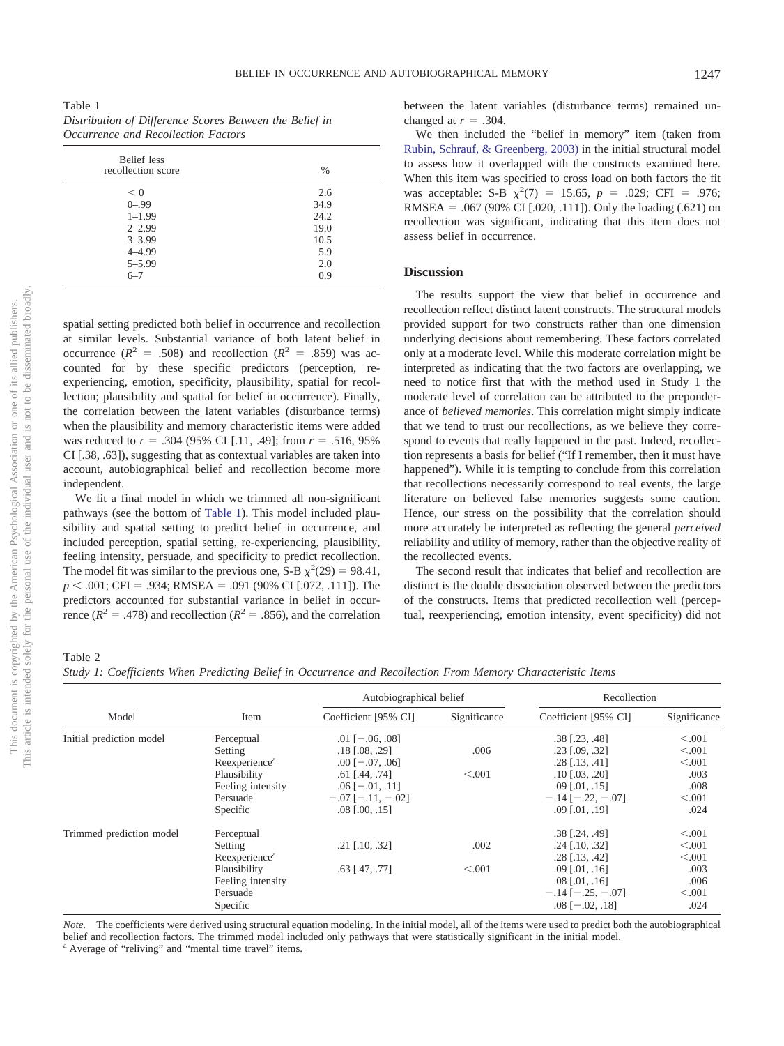<span id="page-5-0"></span>Table 1 *Distribution of Difference Scores Between the Belief in Occurrence and Recollection Factors*

| <b>Belief</b> less<br>recollection score | $\%$ |
|------------------------------------------|------|
| < 0                                      | 2.6  |
| $0 - .99$                                | 34.9 |
| $1 - 1.99$                               | 24.2 |
| $2 - 2.99$                               | 19.0 |
| $3 - 3.99$                               | 10.5 |
| 4-4.99                                   | 5.9  |
| $5 - 5.99$                               | 2.0  |
| $6 - 7$                                  | 0.9  |

spatial setting predicted both belief in occurrence and recollection at similar levels. Substantial variance of both latent belief in occurrence  $(R^2 = .508)$  and recollection  $(R^2 = .859)$  was accounted for by these specific predictors (perception, reexperiencing, emotion, specificity, plausibility, spatial for recollection; plausibility and spatial for belief in occurrence). Finally, the correlation between the latent variables (disturbance terms) when the plausibility and memory characteristic items were added was reduced to  $r = .304$  (95% CI [.11, .49]; from  $r = .516$ , 95% CI [.38, .63]), suggesting that as contextual variables are taken into account, autobiographical belief and recollection become more independent.

We fit a final model in which we trimmed all non-significant pathways (see the bottom of [Table 1\)](#page-5-0). This model included plausibility and spatial setting to predict belief in occurrence, and included perception, spatial setting, re-experiencing, plausibility, feeling intensity, persuade, and specificity to predict recollection. The model fit was similar to the previous one, S-B  $\chi^2(29) = 98.41$ ,  $p < .001$ ; CFI = .934; RMSEA = .091 (90% CI [.072, .111]). The predictors accounted for substantial variance in belief in occurrence ( $R^2 = .478$ ) and recollection ( $R^2 = .856$ ), and the correlation between the latent variables (disturbance terms) remained unchanged at  $r = .304$ .

We then included the "belief in memory" item (taken from [Rubin, Schrauf, & Greenberg, 2003\)](#page-15-27) in the initial structural model to assess how it overlapped with the constructs examined here. When this item was specified to cross load on both factors the fit was acceptable: S-B  $\chi^2(7) = 15.65$ ,  $p = .029$ ; CFI = .976; RMSEA = .067 (90% CI [.020, .111]). Only the loading (.621) on recollection was significant, indicating that this item does not assess belief in occurrence.

### **Discussion**

The results support the view that belief in occurrence and recollection reflect distinct latent constructs. The structural models provided support for two constructs rather than one dimension underlying decisions about remembering. These factors correlated only at a moderate level. While this moderate correlation might be interpreted as indicating that the two factors are overlapping, we need to notice first that with the method used in Study 1 the moderate level of correlation can be attributed to the preponderance of *believed memories*. This correlation might simply indicate that we tend to trust our recollections, as we believe they correspond to events that really happened in the past. Indeed, recollection represents a basis for belief ("If I remember, then it must have happened"). While it is tempting to conclude from this correlation that recollections necessarily correspond to real events, the large literature on believed false memories suggests some caution. Hence, our stress on the possibility that the correlation should more accurately be interpreted as reflecting the general *perceived* reliability and utility of memory, rather than the objective reality of the recollected events.

The second result that indicates that belief and recollection are distinct is the double dissociation observed between the predictors of the constructs. Items that predicted recollection well (perceptual, reexperiencing, emotion intensity, event specificity) did not

<span id="page-5-1"></span>*Study 1: Coefficients When Predicting Belief in Occurrence and Recollection From Memory Characteristic Items*

| Model                    | Item                      | Autobiographical belief |              | Recollection            |              |
|--------------------------|---------------------------|-------------------------|--------------|-------------------------|--------------|
|                          |                           | Coefficient [95% CI]    | Significance | Coefficient [95% CI]    | Significance |
| Initial prediction model | Perceptual                | $.01$ [ $-.06, .08$ ]   |              | $.38$ [ $.23$ , $.48$ ] | < 0.001      |
|                          | Setting                   | $.18$ [.08, .29]        | .006         | $.23$ [.09, .32]        | < 0.001      |
|                          | Reexperience <sup>a</sup> | $.00$ [ $-.07, .06$ ]   |              | $.28$ [.13, .41]        | < 0.001      |
|                          | Plausibility              | $.61$ [.44, .74]        | < 0.001      | $.10$ [.03, .20]        | .003         |
|                          | Feeling intensity         | $.06$ [ $-.01, .11$ ]   |              | $.09$ [ $.01$ , $.15$ ] | .008         |
|                          | Persuade                  | $-.07$ [ $-.11, -.02$ ] |              | $-.14$ [ $-.22, -.07$ ] | < 0.001      |
|                          | Specific                  | $.08$ $[.00, .15]$      |              | $.09$ [ $.01$ , $.19$ ] | .024         |
| Trimmed prediction model | Perceptual                |                         |              | $.38$ [ $.24$ , $.49$ ] | < 0.001      |
|                          | Setting                   | $.21$ [.10, .32]        | .002         | $.24$ [.10, .32]        | < 0.001      |
|                          | Reexperience <sup>a</sup> |                         |              | $.28$ [ $.13$ , $.42$ ] | < 0.001      |
|                          | Plausibility              | $.63$ [.47, .77]        | < 0.001      | $.09$ [ $.01$ , $.16$ ] | .003         |
|                          | Feeling intensity         |                         |              | $.08$ [.01, .16]        | .006         |
|                          | Persuade                  |                         |              | $-.14$ [ $-.25, -.07$ ] | < 0.001      |
|                          | Specific                  |                         |              | $.08$ [ $-.02, .18$ ]   | .024         |

*Note.* The coefficients were derived using structural equation modeling. In the initial model, all of the items were used to predict both the autobiographical belief and recollection factors. The trimmed model included only pathways that were statistically significant in the initial model. <sup>a</sup> Average of "reliving" and "mental time travel" items.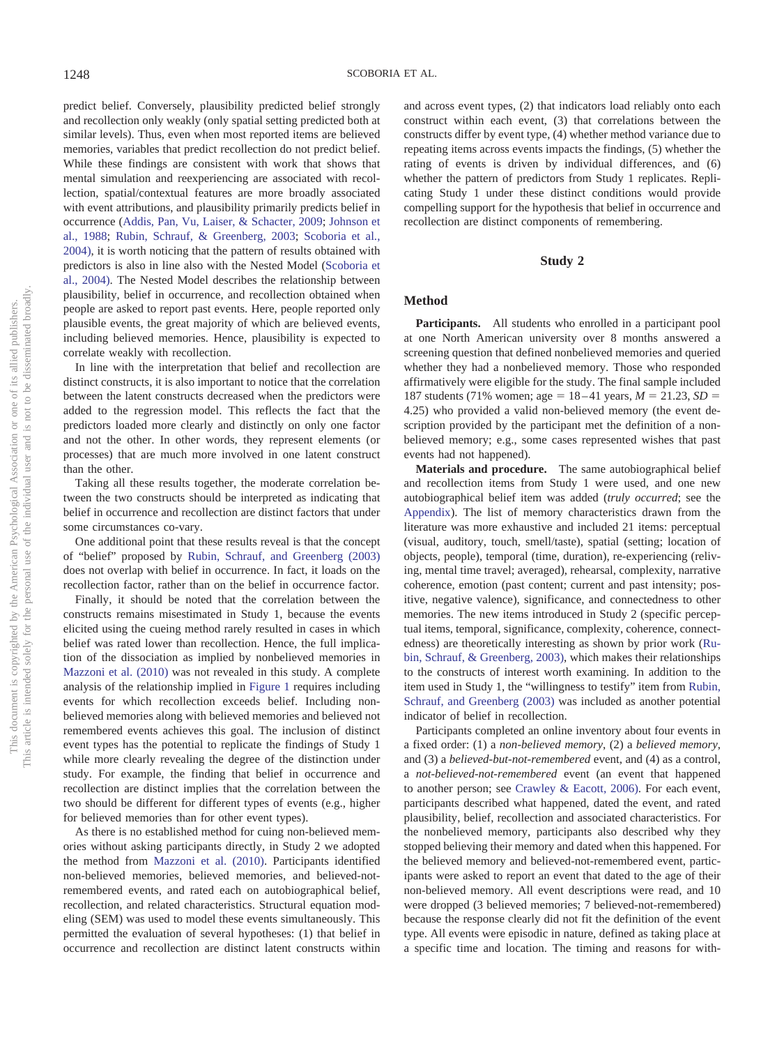predict belief. Conversely, plausibility predicted belief strongly and recollection only weakly (only spatial setting predicted both at similar levels). Thus, even when most reported items are believed memories, variables that predict recollection do not predict belief. While these findings are consistent with work that shows that mental simulation and reexperiencing are associated with recollection, spatial/contextual features are more broadly associated with event attributions, and plausibility primarily predicts belief in occurrence [\(Addis, Pan, Vu, Laiser, & Schacter, 2009;](#page-13-5) [Johnson et](#page-14-4) [al., 1988;](#page-14-4) [Rubin, Schrauf, & Greenberg, 2003;](#page-15-27) [Scoboria et al.,](#page-15-3) [2004\),](#page-15-3) it is worth noticing that the pattern of results obtained with predictors is also in line also with the Nested Model [\(Scoboria et](#page-15-3) [al., 2004\).](#page-15-3) The Nested Model describes the relationship between plausibility, belief in occurrence, and recollection obtained when people are asked to report past events. Here, people reported only plausible events, the great majority of which are believed events, including believed memories. Hence, plausibility is expected to correlate weakly with recollection.

In line with the interpretation that belief and recollection are distinct constructs, it is also important to notice that the correlation between the latent constructs decreased when the predictors were added to the regression model. This reflects the fact that the predictors loaded more clearly and distinctly on only one factor and not the other. In other words, they represent elements (or processes) that are much more involved in one latent construct than the other.

Taking all these results together, the moderate correlation between the two constructs should be interpreted as indicating that belief in occurrence and recollection are distinct factors that under some circumstances co-vary.

One additional point that these results reveal is that the concept of "belief" proposed by [Rubin, Schrauf, and Greenberg \(2003\)](#page-15-27) does not overlap with belief in occurrence. In fact, it loads on the recollection factor, rather than on the belief in occurrence factor.

Finally, it should be noted that the correlation between the constructs remains misestimated in Study 1, because the events elicited using the cueing method rarely resulted in cases in which belief was rated lower than recollection. Hence, the full implication of the dissociation as implied by nonbelieved memories in [Mazzoni et al. \(2010\)](#page-15-1) was not revealed in this study. A complete analysis of the relationship implied in [Figure 1](#page-2-0) requires including events for which recollection exceeds belief. Including nonbelieved memories along with believed memories and believed not remembered events achieves this goal. The inclusion of distinct event types has the potential to replicate the findings of Study 1 while more clearly revealing the degree of the distinction under study. For example, the finding that belief in occurrence and recollection are distinct implies that the correlation between the two should be different for different types of events (e.g., higher for believed memories than for other event types).

As there is no established method for cuing non-believed memories without asking participants directly, in Study 2 we adopted the method from [Mazzoni et al. \(2010\).](#page-15-1) Participants identified non-believed memories, believed memories, and believed-notremembered events, and rated each on autobiographical belief, recollection, and related characteristics. Structural equation modeling (SEM) was used to model these events simultaneously. This permitted the evaluation of several hypotheses: (1) that belief in occurrence and recollection are distinct latent constructs within and across event types, (2) that indicators load reliably onto each construct within each event, (3) that correlations between the constructs differ by event type, (4) whether method variance due to repeating items across events impacts the findings, (5) whether the rating of events is driven by individual differences, and (6) whether the pattern of predictors from Study 1 replicates. Replicating Study 1 under these distinct conditions would provide compelling support for the hypothesis that belief in occurrence and recollection are distinct components of remembering.

# **Study 2**

# **Method**

**Participants.** All students who enrolled in a participant pool at one North American university over 8 months answered a screening question that defined nonbelieved memories and queried whether they had a nonbelieved memory. Those who responded affirmatively were eligible for the study. The final sample included 187 students (71% women; age =  $18-41$  years,  $M = 21.23$ ,  $SD =$ 4.25) who provided a valid non-believed memory (the event description provided by the participant met the definition of a nonbelieved memory; e.g., some cases represented wishes that past events had not happened).

**Materials and procedure.** The same autobiographical belief and recollection items from Study 1 were used, and one new autobiographical belief item was added (*truly occurred*; see the [Appendix\)](#page-16-4). The list of memory characteristics drawn from the literature was more exhaustive and included 21 items: perceptual (visual, auditory, touch, smell/taste), spatial (setting; location of objects, people), temporal (time, duration), re-experiencing (reliving, mental time travel; averaged), rehearsal, complexity, narrative coherence, emotion (past content; current and past intensity; positive, negative valence), significance, and connectedness to other memories. The new items introduced in Study 2 (specific perceptual items, temporal, significance, complexity, coherence, connectedness) are theoretically interesting as shown by prior work [\(Ru](#page-15-27)[bin, Schrauf, & Greenberg, 2003\),](#page-15-27) which makes their relationships to the constructs of interest worth examining. In addition to the item used in Study 1, the "willingness to testify" item from [Rubin,](#page-15-27) [Schrauf, and Greenberg \(2003\)](#page-15-27) was included as another potential indicator of belief in recollection.

Participants completed an online inventory about four events in a fixed order: (1) a *non-believed memory*, (2) a *believed memory*, and (3) a *believed-but-not-remembered* event, and (4) as a control, a *not-believed-not-remembered* event (an event that happened to another person; see [Crawley & Eacott, 2006\).](#page-14-6) For each event, participants described what happened, dated the event, and rated plausibility, belief, recollection and associated characteristics. For the nonbelieved memory, participants also described why they stopped believing their memory and dated when this happened. For the believed memory and believed-not-remembered event, participants were asked to report an event that dated to the age of their non-believed memory. All event descriptions were read, and 10 were dropped (3 believed memories; 7 believed-not-remembered) because the response clearly did not fit the definition of the event type. All events were episodic in nature, defined as taking place at a specific time and location. The timing and reasons for with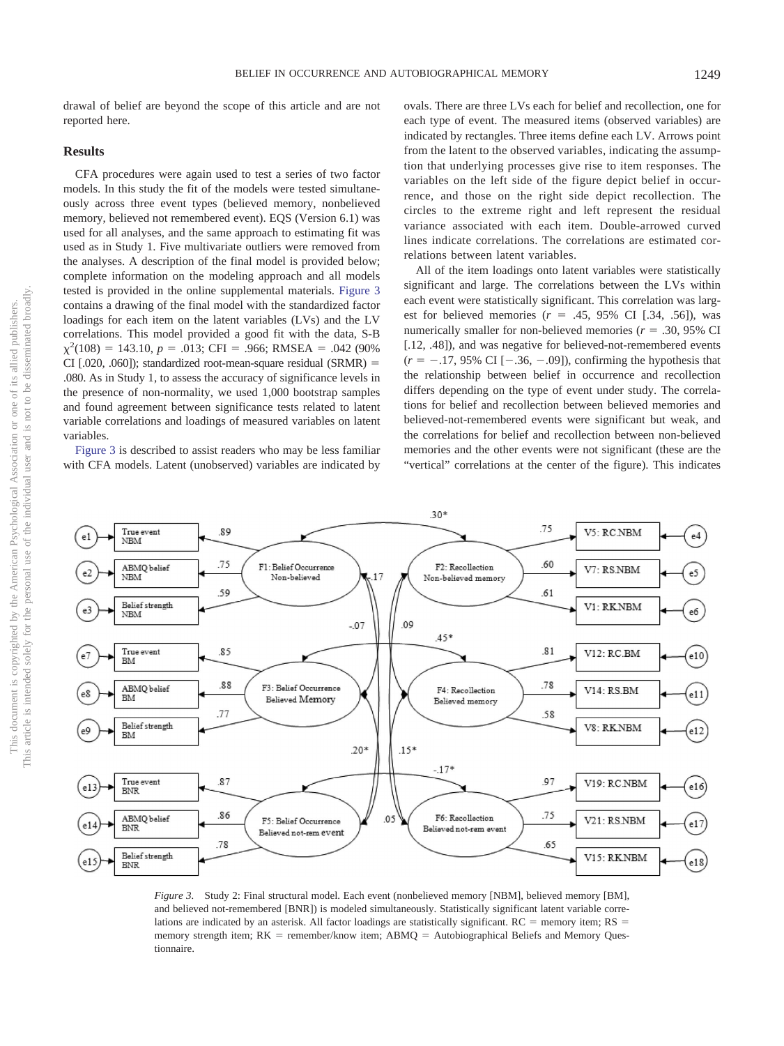drawal of belief are beyond the scope of this article and are not reported here.

# **Results**

CFA procedures were again used to test a series of two factor models. In this study the fit of the models were tested simultaneously across three event types (believed memory, nonbelieved memory, believed not remembered event). EQS (Version 6.1) was used for all analyses, and the same approach to estimating fit was used as in Study 1. Five multivariate outliers were removed from the analyses. A description of the final model is provided below; complete information on the modeling approach and all models tested is provided in the online supplemental materials. [Figure 3](#page-7-0) contains a drawing of the final model with the standardized factor loadings for each item on the latent variables (LVs) and the LV correlations. This model provided a good fit with the data, S-B  $\chi^2(108) = 143.10, p = .013$ ; CFI = .966; RMSEA = .042 (90%) CI  $[.020, .060]$ ); standardized root-mean-square residual  $(SRMR)$  = .080. As in Study 1, to assess the accuracy of significance levels in the presence of non-normality, we used 1,000 bootstrap samples and found agreement between significance tests related to latent variable correlations and loadings of measured variables on latent variables.

[Figure 3](#page-7-0) is described to assist readers who may be less familiar with CFA models. Latent (unobserved) variables are indicated by ovals. There are three LVs each for belief and recollection, one for each type of event. The measured items (observed variables) are indicated by rectangles. Three items define each LV. Arrows point from the latent to the observed variables, indicating the assumption that underlying processes give rise to item responses. The variables on the left side of the figure depict belief in occurrence, and those on the right side depict recollection. The circles to the extreme right and left represent the residual variance associated with each item. Double-arrowed curved lines indicate correlations. The correlations are estimated correlations between latent variables.

All of the item loadings onto latent variables were statistically significant and large. The correlations between the LVs within each event were statistically significant. This correlation was largest for believed memories  $(r = .45, 95\% \text{ CI} [.34, .56])$ , was numerically smaller for non-believed memories ( $r = .30, 95\%$  CI [.12, .48]), and was negative for believed-not-remembered events  $(r = -.17, 95\% \text{ CI } [-.36, -.09])$ , confirming the hypothesis that the relationship between belief in occurrence and recollection differs depending on the type of event under study. The correlations for belief and recollection between believed memories and believed-not-remembered events were significant but weak, and the correlations for belief and recollection between non-believed memories and the other events were not significant (these are the "vertical" correlations at the center of the figure). This indicates



<span id="page-7-0"></span>*Figure 3.* Study 2: Final structural model. Each event (nonbelieved memory [NBM], believed memory [BM], and believed not-remembered [BNR]) is modeled simultaneously. Statistically significant latent variable correlations are indicated by an asterisk. All factor loadings are statistically significant.  $RC =$  memory item;  $RS =$ memory strength item; RK = remember/know item; ABMQ = Autobiographical Beliefs and Memory Questionnaire.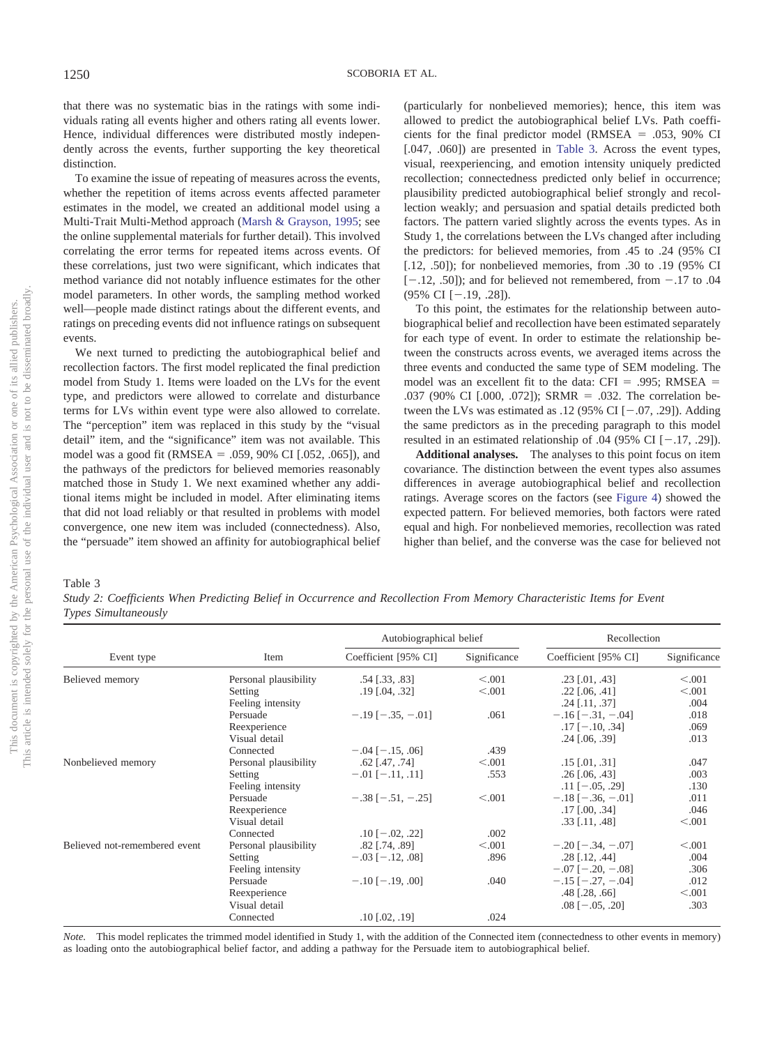that there was no systematic bias in the ratings with some individuals rating all events higher and others rating all events lower. Hence, individual differences were distributed mostly independently across the events, further supporting the key theoretical distinction.

To examine the issue of repeating of measures across the events, whether the repetition of items across events affected parameter estimates in the model, we created an additional model using a Multi-Trait Multi-Method approach [\(Marsh & Grayson, 1995;](#page-14-17) see the online supplemental materials for further detail). This involved correlating the error terms for repeated items across events. Of these correlations, just two were significant, which indicates that method variance did not notably influence estimates for the other model parameters. In other words, the sampling method worked well—people made distinct ratings about the different events, and ratings on preceding events did not influence ratings on subsequent events.

We next turned to predicting the autobiographical belief and recollection factors. The first model replicated the final prediction model from Study 1. Items were loaded on the LVs for the event type, and predictors were allowed to correlate and disturbance terms for LVs within event type were also allowed to correlate. The "perception" item was replaced in this study by the "visual detail" item, and the "significance" item was not available. This model was a good fit ( $RMSEA = .059, 90\% \text{ CI}$  [.052, .065]), and the pathways of the predictors for believed memories reasonably matched those in Study 1. We next examined whether any additional items might be included in model. After eliminating items that did not load reliably or that resulted in problems with model convergence, one new item was included (connectedness). Also, the "persuade" item showed an affinity for autobiographical belief

(particularly for nonbelieved memories); hence, this item was allowed to predict the autobiographical belief LVs. Path coefficients for the final predictor model ( $RMSEA = .053$ , 90% CI [.047, .060]) are presented in [Table 3.](#page-8-0) Across the event types, visual, reexperiencing, and emotion intensity uniquely predicted recollection; connectedness predicted only belief in occurrence; plausibility predicted autobiographical belief strongly and recollection weakly; and persuasion and spatial details predicted both factors. The pattern varied slightly across the events types. As in Study 1, the correlations between the LVs changed after including the predictors: for believed memories, from .45 to .24 (95% CI [.12, .50]); for nonbelieved memories, from .30 to .19 (95% CI  $[-.12, .50]$ ; and for believed not remembered, from  $-.17$  to .04  $(95\% \text{ CI } [-.19, .28]).$ 

To this point, the estimates for the relationship between autobiographical belief and recollection have been estimated separately for each type of event. In order to estimate the relationship between the constructs across events, we averaged items across the three events and conducted the same type of SEM modeling. The model was an excellent fit to the data:  $CFI = .995$ ; RMSEA = .037 (90% CI [.000, .072]); SRMR = .032. The correlation between the LVs was estimated as .12 (95% CI  $[-.07, .29]$ ). Adding the same predictors as in the preceding paragraph to this model resulted in an estimated relationship of .04 (95% CI  $[-.17, .29]$ ).

**Additional analyses.** The analyses to this point focus on item covariance. The distinction between the event types also assumes differences in average autobiographical belief and recollection ratings. Average scores on the factors (see [Figure 4\)](#page-9-0) showed the expected pattern. For believed memories, both factors were rated equal and high. For nonbelieved memories, recollection was rated higher than belief, and the converse was the case for believed not

<span id="page-8-0"></span>Table 3

*Study 2: Coefficients When Predicting Belief in Occurrence and Recollection From Memory Characteristic Items for Event Types Simultaneously*

| Event type                    | Item                  | Autobiographical belief    |              | Recollection               |              |
|-------------------------------|-----------------------|----------------------------|--------------|----------------------------|--------------|
|                               |                       | Coefficient [95% CI]       | Significance | Coefficient [95% CI]       | Significance |
| Believed memory               | Personal plausibility | $.54$ [ $.33$ , $.83$ ]    | < 0.001      | $.23$ [.01, .43]           | < 0.001      |
|                               | Setting               | $.19$ [.04, .32]           | < 0.001      | $.22$ [ $.06, .41$ ]       | < 0.001      |
|                               | Feeling intensity     |                            |              | $.24$ [.11, .37]           | .004         |
|                               | Persuade              | $-.19$ [ $-.35$ , $-.01$ ] | .061         | $-.16$ [ $-.31, -.04$ ]    | .018         |
|                               | Reexperience          |                            |              | $.17$ [ $-.10, .34$ ]      | .069         |
|                               | Visual detail         |                            |              | $.24$ [.06, .39]           | .013         |
|                               | Connected             | $-.04$ [ $-.15, .06$ ]     | .439         |                            |              |
| Nonbelieved memory            | Personal plausibility | $.62$ [.47, .74]           | < 0.001      | $.15$ [.01, .31]           | .047         |
|                               | Setting               | $-.01$ [ $-.11, .11$ ]     | .553         | $.26$ [.06, .43]           | .003         |
|                               | Feeling intensity     |                            |              | $.11$ [ $-.05, .29$ ]      | .130         |
|                               | Persuade              | $-.38$ [ $-.51, -.25$ ]    | < 0.001      | $-.18$ [ $-.36$ , $-.01$ ] | .011         |
|                               | Reexperience          |                            |              | $.17$ [ $.00, .34$ ]       | .046         |
|                               | Visual detail         |                            |              | $.33$ [.11, .48]           | < 0.001      |
|                               | Connected             | $.10$ [ $-.02, .22$ ]      | .002         |                            |              |
| Believed not-remembered event | Personal plausibility | $.82$ [.74, .89]           | < 0.001      | $-.20$ [ $-.34, -.07$ ]    | < 0.001      |
|                               | Setting               | $-.03$ [ $-.12, .08$ ]     | .896         | $.28$ [.12, .44]           | .004         |
|                               | Feeling intensity     |                            |              | $-.07$ [ $-.20, -.08$ ]    | .306         |
|                               | Persuade              | $-.10$ [ $-.19, .00$ ]     | .040         | $-.15$ [ $-.27, -.04$ ]    | .012         |
|                               | Reexperience          |                            |              | $.48$ [ $.28$ , $.66$ ]    | < 0.001      |
|                               | Visual detail         |                            |              | $.08$ [ $-.05, .20$ ]      | .303         |
|                               | Connected             | $.10$ [ $.02, .19$ ]       | .024         |                            |              |

*Note.* This model replicates the trimmed model identified in Study 1, with the addition of the Connected item (connectedness to other events in memory) as loading onto the autobiographical belief factor, and adding a pathway for the Persuade item to autobiographical belief.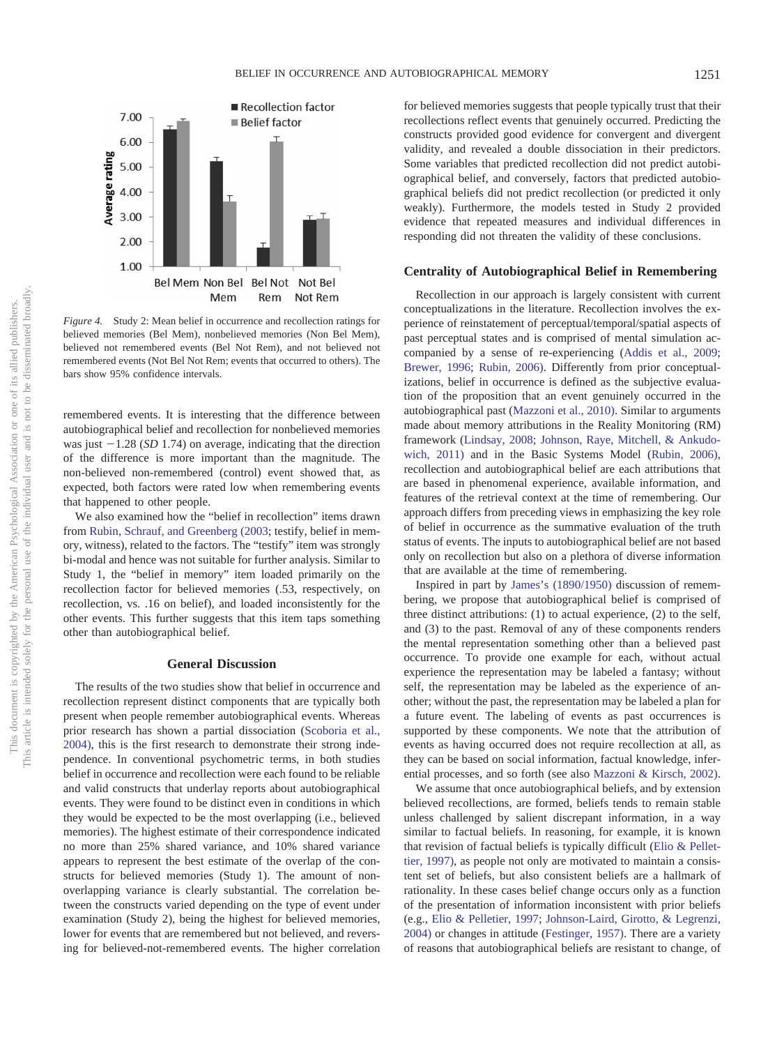

<span id="page-9-0"></span>*Figure 4.* Study 2: Mean belief in occurrence and recollection ratings for believed memories (Bel Mem), nonbelieved memories (Non Bel Mem), believed not remembered events (Bel Not Rem), and not believed not remembered events (Not Bel Not Rem; events that occurred to others). The bars show 95% confidence intervals.

remembered events. It is interesting that the difference between autobiographical belief and recollection for nonbelieved memories was just  $-1.28$  (*SD* 1.74) on average, indicating that the direction of the difference is more important than the magnitude. The non-believed non-remembered (control) event showed that, as expected, both factors were rated low when remembering events that happened to other people.

We also examined how the "belief in recollection" items drawn from [Rubin, Schrauf, and Greenberg \(2003;](#page-15-27) testify, belief in memory, witness), related to the factors. The "testify" item was strongly bi-modal and hence was not suitable for further analysis. Similar to Study 1, the "belief in memory" item loaded primarily on the recollection factor for believed memories (.53, respectively, on recollection, vs. .16 on belief), and loaded inconsistently for the other events. This further suggests that this item taps something other than autobiographical belief.

#### **General Discussion**

The results of the two studies show that belief in occurrence and recollection represent distinct components that are typically both present when people remember autobiographical events. Whereas prior research has shown a partial dissociation [\(Scoboria et al.,](#page-15-3) [2004\),](#page-15-3) this is the first research to demonstrate their strong independence. In conventional psychometric terms, in both studies belief in occurrence and recollection were each found to be reliable and valid constructs that underlay reports about autobiographical events. They were found to be distinct even in conditions in which they would be expected to be the most overlapping (i.e., believed memories). The highest estimate of their correspondence indicated no more than 25% shared variance, and 10% shared variance appears to represent the best estimate of the overlap of the constructs for believed memories (Study 1). The amount of nonoverlapping variance is clearly substantial. The correlation between the constructs varied depending on the type of event under examination (Study 2), being the highest for believed memories, lower for events that are remembered but not believed, and reversing for believed-not-remembered events. The higher correlation

for believed memories suggests that people typically trust that their recollections reflect events that genuinely occurred. Predicting the constructs provided good evidence for convergent and divergent validity, and revealed a double dissociation in their predictors. Some variables that predicted recollection did not predict autobiographical belief, and conversely, factors that predicted autobiographical beliefs did not predict recollection (or predicted it only weakly). Furthermore, the models tested in Study 2 provided evidence that repeated measures and individual differences in responding did not threaten the validity of these conclusions.

#### **Centrality of Autobiographical Belief in Remembering**

Recollection in our approach is largely consistent with current conceptualizations in the literature. Recollection involves the experience of reinstatement of perceptual/temporal/spatial aspects of past perceptual states and is comprised of mental simulation accompanied by a sense of re-experiencing [\(Addis et al., 2009;](#page-13-5) [Brewer, 1996;](#page-13-0) [Rubin, 2006\).](#page-15-0) Differently from prior conceptualizations, belief in occurrence is defined as the subjective evaluation of the proposition that an event genuinely occurred in the autobiographical past [\(Mazzoni et al., 2010\).](#page-15-1) Similar to arguments made about memory attributions in the Reality Monitoring (RM) framework [\(Lindsay, 2008;](#page-14-18) [Johnson, Raye, Mitchell, & Ankudo](#page-14-19)[wich, 2011\)](#page-14-19) and in the Basic Systems Model [\(Rubin, 2006\),](#page-15-0) recollection and autobiographical belief are each attributions that are based in phenomenal experience, available information, and features of the retrieval context at the time of remembering. Our approach differs from preceding views in emphasizing the key role of belief in occurrence as the summative evaluation of the truth status of events. The inputs to autobiographical belief are not based only on recollection but also on a plethora of diverse information that are available at the time of remembering.

Inspired in part by [James's \(1890/1950\)](#page-14-1) discussion of remembering, we propose that autobiographical belief is comprised of three distinct attributions: (1) to actual experience, (2) to the self, and (3) to the past. Removal of any of these components renders the mental representation something other than a believed past occurrence. To provide one example for each, without actual experience the representation may be labeled a fantasy; without self, the representation may be labeled as the experience of another; without the past, the representation may be labeled a plan for a future event. The labeling of events as past occurrences is supported by these components. We note that the attribution of events as having occurred does not require recollection at all, as they can be based on social information, factual knowledge, inferential processes, and so forth (see also [Mazzoni & Kirsch, 2002\).](#page-15-10)

We assume that once autobiographical beliefs, and by extension believed recollections, are formed, beliefs tends to remain stable unless challenged by salient discrepant information, in a way similar to factual beliefs. In reasoning, for example, it is known that revision of factual beliefs is typically difficult [\(Elio & Pellet](#page-14-20)[tier, 1997\),](#page-14-20) as people not only are motivated to maintain a consistent set of beliefs, but also consistent beliefs are a hallmark of rationality. In these cases belief change occurs only as a function of the presentation of information inconsistent with prior beliefs (e.g., [Elio & Pelletier, 1997;](#page-14-20) [Johnson-Laird, Girotto, & Legrenzi,](#page-14-21) [2004\)](#page-14-21) or changes in attitude [\(Festinger, 1957\).](#page-14-22) There are a variety of reasons that autobiographical beliefs are resistant to change, of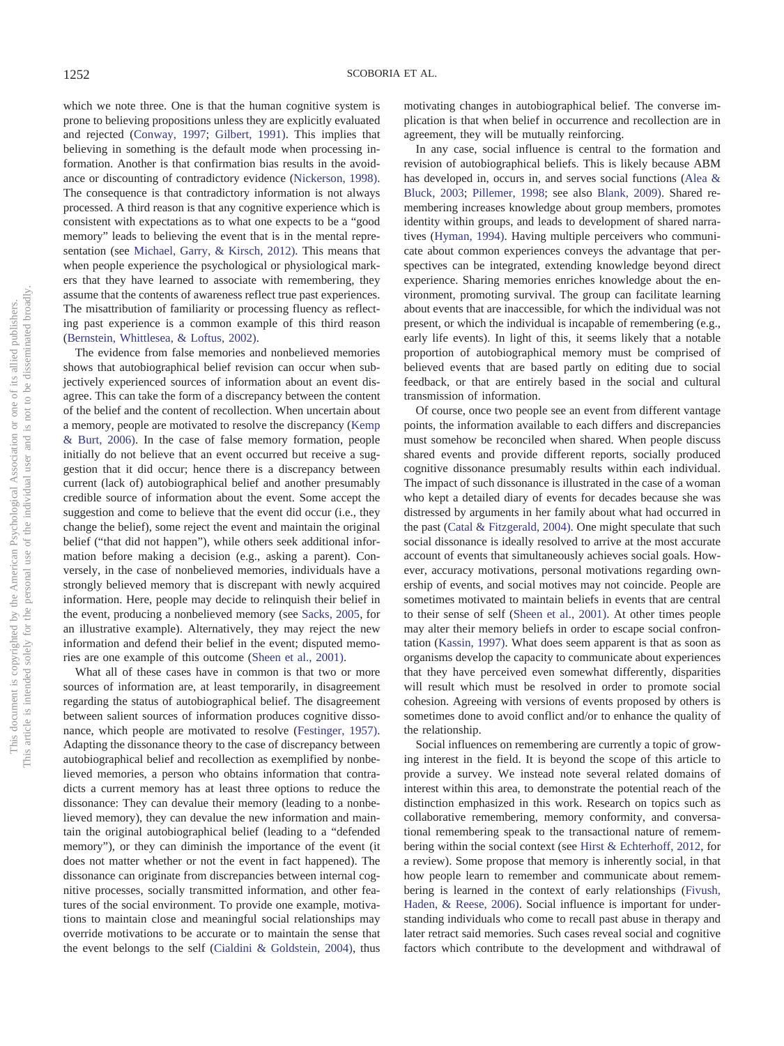which we note three. One is that the human cognitive system is prone to believing propositions unless they are explicitly evaluated and rejected [\(Conway, 1997;](#page-14-23) [Gilbert, 1991\).](#page-14-24) This implies that believing in something is the default mode when processing information. Another is that confirmation bias results in the avoidance or discounting of contradictory evidence [\(Nickerson, 1998\).](#page-15-30) The consequence is that contradictory information is not always processed. A third reason is that any cognitive experience which is consistent with expectations as to what one expects to be a "good memory" leads to believing the event that is in the mental representation (see [Michael, Garry, & Kirsch, 2012\).](#page-15-31) This means that when people experience the psychological or physiological markers that they have learned to associate with remembering, they assume that the contents of awareness reflect true past experiences. The misattribution of familiarity or processing fluency as reflecting past experience is a common example of this third reason [\(Bernstein, Whittlesea, & Loftus, 2002\).](#page-13-6)

The evidence from false memories and nonbelieved memories shows that autobiographical belief revision can occur when subjectively experienced sources of information about an event disagree. This can take the form of a discrepancy between the content of the belief and the content of recollection. When uncertain about a memory, people are motivated to resolve the discrepancy [\(Kemp](#page-14-25) [& Burt, 2006\).](#page-14-25) In the case of false memory formation, people initially do not believe that an event occurred but receive a suggestion that it did occur; hence there is a discrepancy between current (lack of) autobiographical belief and another presumably credible source of information about the event. Some accept the suggestion and come to believe that the event did occur (i.e., they change the belief), some reject the event and maintain the original belief ("that did not happen"), while others seek additional information before making a decision (e.g., asking a parent). Conversely, in the case of nonbelieved memories, individuals have a strongly believed memory that is discrepant with newly acquired information. Here, people may decide to relinquish their belief in the event, producing a nonbelieved memory (see [Sacks, 2005,](#page-15-32) for an illustrative example). Alternatively, they may reject the new information and defend their belief in the event; disputed memories are one example of this outcome [\(Sheen et al., 2001\).](#page-15-23)

What all of these cases have in common is that two or more sources of information are, at least temporarily, in disagreement regarding the status of autobiographical belief. The disagreement between salient sources of information produces cognitive dissonance, which people are motivated to resolve [\(Festinger, 1957\).](#page-14-22) Adapting the dissonance theory to the case of discrepancy between autobiographical belief and recollection as exemplified by nonbelieved memories, a person who obtains information that contradicts a current memory has at least three options to reduce the dissonance: They can devalue their memory (leading to a nonbelieved memory), they can devalue the new information and maintain the original autobiographical belief (leading to a "defended memory"), or they can diminish the importance of the event (it does not matter whether or not the event in fact happened). The dissonance can originate from discrepancies between internal cognitive processes, socially transmitted information, and other features of the social environment. To provide one example, motivations to maintain close and meaningful social relationships may override motivations to be accurate or to maintain the sense that the event belongs to the self [\(Cialdini & Goldstein, 2004\),](#page-13-7) thus

motivating changes in autobiographical belief. The converse implication is that when belief in occurrence and recollection are in agreement, they will be mutually reinforcing.

In any case, social influence is central to the formation and revision of autobiographical beliefs. This is likely because ABM has developed in, occurs in, and serves social functions [\(Alea &](#page-13-8) [Bluck, 2003;](#page-13-8) [Pillemer, 1998;](#page-15-4) see also [Blank, 2009\).](#page-13-9) Shared remembering increases knowledge about group members, promotes identity within groups, and leads to development of shared narratives [\(Hyman, 1994\).](#page-14-26) Having multiple perceivers who communicate about common experiences conveys the advantage that perspectives can be integrated, extending knowledge beyond direct experience. Sharing memories enriches knowledge about the environment, promoting survival. The group can facilitate learning about events that are inaccessible, for which the individual was not present, or which the individual is incapable of remembering (e.g., early life events). In light of this, it seems likely that a notable proportion of autobiographical memory must be comprised of believed events that are based partly on editing due to social feedback, or that are entirely based in the social and cultural transmission of information.

Of course, once two people see an event from different vantage points, the information available to each differs and discrepancies must somehow be reconciled when shared. When people discuss shared events and provide different reports, socially produced cognitive dissonance presumably results within each individual. The impact of such dissonance is illustrated in the case of a woman who kept a detailed diary of events for decades because she was distressed by arguments in her family about what had occurred in the past [\(Catal & Fitzgerald, 2004\).](#page-13-10) One might speculate that such social dissonance is ideally resolved to arrive at the most accurate account of events that simultaneously achieves social goals. However, accuracy motivations, personal motivations regarding ownership of events, and social motives may not coincide. People are sometimes motivated to maintain beliefs in events that are central to their sense of self [\(Sheen et al., 2001\).](#page-15-23) At other times people may alter their memory beliefs in order to escape social confrontation [\(Kassin, 1997\).](#page-14-27) What does seem apparent is that as soon as organisms develop the capacity to communicate about experiences that they have perceived even somewhat differently, disparities will result which must be resolved in order to promote social cohesion. Agreeing with versions of events proposed by others is sometimes done to avoid conflict and/or to enhance the quality of the relationship.

Social influences on remembering are currently a topic of growing interest in the field. It is beyond the scope of this article to provide a survey. We instead note several related domains of interest within this area, to demonstrate the potential reach of the distinction emphasized in this work. Research on topics such as collaborative remembering, memory conformity, and conversational remembering speak to the transactional nature of remembering within the social context (see [Hirst & Echterhoff, 2012,](#page-14-28) for a review). Some propose that memory is inherently social, in that how people learn to remember and communicate about remembering is learned in the context of early relationships [\(Fivush,](#page-14-29) [Haden, & Reese, 2006\).](#page-14-29) Social influence is important for understanding individuals who come to recall past abuse in therapy and later retract said memories. Such cases reveal social and cognitive factors which contribute to the development and withdrawal of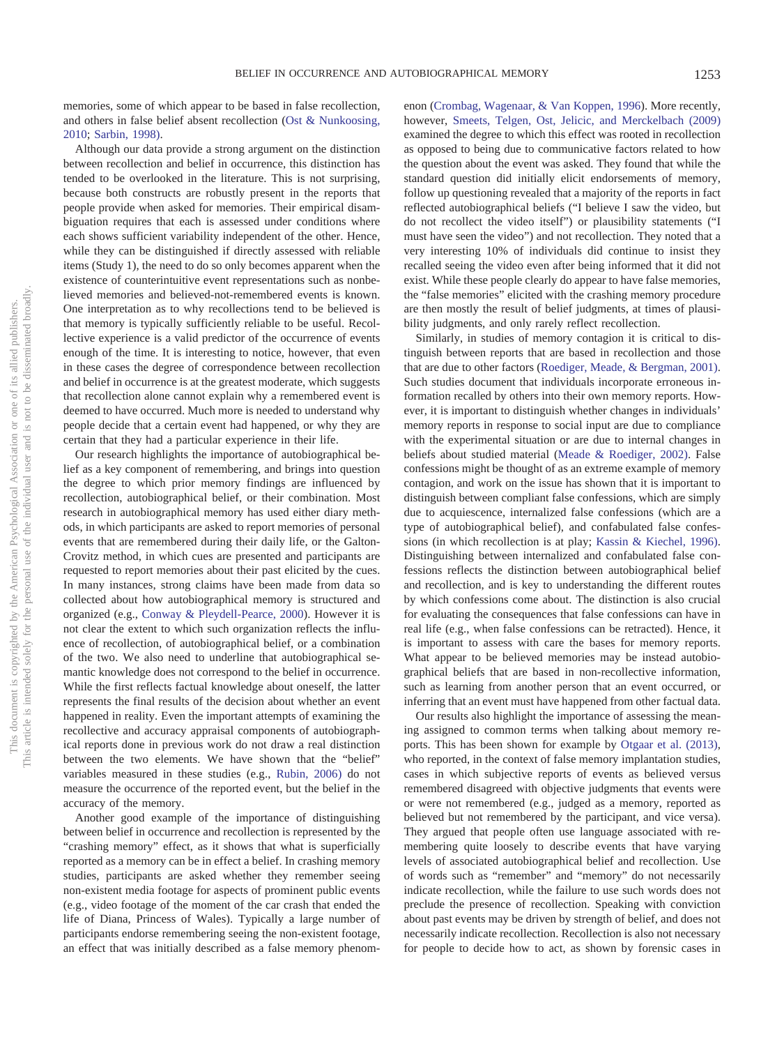memories, some of which appear to be based in false recollection, and others in false belief absent recollection [\(Ost & Nunkoosing,](#page-15-26) [2010;](#page-15-26) [Sarbin, 1998\).](#page-15-33)

Although our data provide a strong argument on the distinction between recollection and belief in occurrence, this distinction has tended to be overlooked in the literature. This is not surprising, because both constructs are robustly present in the reports that people provide when asked for memories. Their empirical disambiguation requires that each is assessed under conditions where each shows sufficient variability independent of the other. Hence, while they can be distinguished if directly assessed with reliable items (Study 1), the need to do so only becomes apparent when the existence of counterintuitive event representations such as nonbelieved memories and believed-not-remembered events is known. One interpretation as to why recollections tend to be believed is that memory is typically sufficiently reliable to be useful. Recollective experience is a valid predictor of the occurrence of events enough of the time. It is interesting to notice, however, that even in these cases the degree of correspondence between recollection and belief in occurrence is at the greatest moderate, which suggests that recollection alone cannot explain why a remembered event is deemed to have occurred. Much more is needed to understand why people decide that a certain event had happened, or why they are certain that they had a particular experience in their life.

Our research highlights the importance of autobiographical belief as a key component of remembering, and brings into question the degree to which prior memory findings are influenced by recollection, autobiographical belief, or their combination. Most research in autobiographical memory has used either diary methods, in which participants are asked to report memories of personal events that are remembered during their daily life, or the Galton-Crovitz method, in which cues are presented and participants are requested to report memories about their past elicited by the cues. In many instances, strong claims have been made from data so collected about how autobiographical memory is structured and organized (e.g., [Conway & Pleydell-Pearce, 2000\)](#page-14-30). However it is not clear the extent to which such organization reflects the influence of recollection, of autobiographical belief, or a combination of the two. We also need to underline that autobiographical semantic knowledge does not correspond to the belief in occurrence. While the first reflects factual knowledge about oneself, the latter represents the final results of the decision about whether an event happened in reality. Even the important attempts of examining the recollective and accuracy appraisal components of autobiographical reports done in previous work do not draw a real distinction between the two elements. We have shown that the "belief" variables measured in these studies (e.g., [Rubin, 2006\)](#page-15-0) do not measure the occurrence of the reported event, but the belief in the accuracy of the memory.

Another good example of the importance of distinguishing between belief in occurrence and recollection is represented by the "crashing memory" effect, as it shows that what is superficially reported as a memory can be in effect a belief. In crashing memory studies, participants are asked whether they remember seeing non-existent media footage for aspects of prominent public events (e.g., video footage of the moment of the car crash that ended the life of Diana, Princess of Wales). Typically a large number of participants endorse remembering seeing the non-existent footage, an effect that was initially described as a false memory phenom-

enon [\(Crombag, Wagenaar, & Van Koppen, 1996\)](#page-14-31). More recently, however, [Smeets, Telgen, Ost, Jelicic, and Merckelbach \(2009\)](#page-15-34) examined the degree to which this effect was rooted in recollection as opposed to being due to communicative factors related to how the question about the event was asked. They found that while the standard question did initially elicit endorsements of memory, follow up questioning revealed that a majority of the reports in fact reflected autobiographical beliefs ("I believe I saw the video, but do not recollect the video itself") or plausibility statements ("I must have seen the video") and not recollection. They noted that a very interesting 10% of individuals did continue to insist they recalled seeing the video even after being informed that it did not exist. While these people clearly do appear to have false memories, the "false memories" elicited with the crashing memory procedure are then mostly the result of belief judgments, at times of plausibility judgments, and only rarely reflect recollection.

Similarly, in studies of memory contagion it is critical to distinguish between reports that are based in recollection and those that are due to other factors [\(Roediger, Meade, & Bergman, 2001\).](#page-15-35) Such studies document that individuals incorporate erroneous information recalled by others into their own memory reports. However, it is important to distinguish whether changes in individuals' memory reports in response to social input are due to compliance with the experimental situation or are due to internal changes in beliefs about studied material [\(Meade & Roediger, 2002\).](#page-15-19) False confessions might be thought of as an extreme example of memory contagion, and work on the issue has shown that it is important to distinguish between compliant false confessions, which are simply due to acquiescence, internalized false confessions (which are a type of autobiographical belief), and confabulated false confessions (in which recollection is at play; [Kassin & Kiechel, 1996\).](#page-14-12) Distinguishing between internalized and confabulated false confessions reflects the distinction between autobiographical belief and recollection, and is key to understanding the different routes by which confessions come about. The distinction is also crucial for evaluating the consequences that false confessions can have in real life (e.g., when false confessions can be retracted). Hence, it is important to assess with care the bases for memory reports. What appear to be believed memories may be instead autobiographical beliefs that are based in non-recollective information, such as learning from another person that an event occurred, or inferring that an event must have happened from other factual data.

Our results also highlight the importance of assessing the meaning assigned to common terms when talking about memory reports. This has been shown for example by [Otgaar et al. \(2013\),](#page-15-2) who reported, in the context of false memory implantation studies, cases in which subjective reports of events as believed versus remembered disagreed with objective judgments that events were or were not remembered (e.g., judged as a memory, reported as believed but not remembered by the participant, and vice versa). They argued that people often use language associated with remembering quite loosely to describe events that have varying levels of associated autobiographical belief and recollection. Use of words such as "remember" and "memory" do not necessarily indicate recollection, while the failure to use such words does not preclude the presence of recollection. Speaking with conviction about past events may be driven by strength of belief, and does not necessarily indicate recollection. Recollection is also not necessary for people to decide how to act, as shown by forensic cases in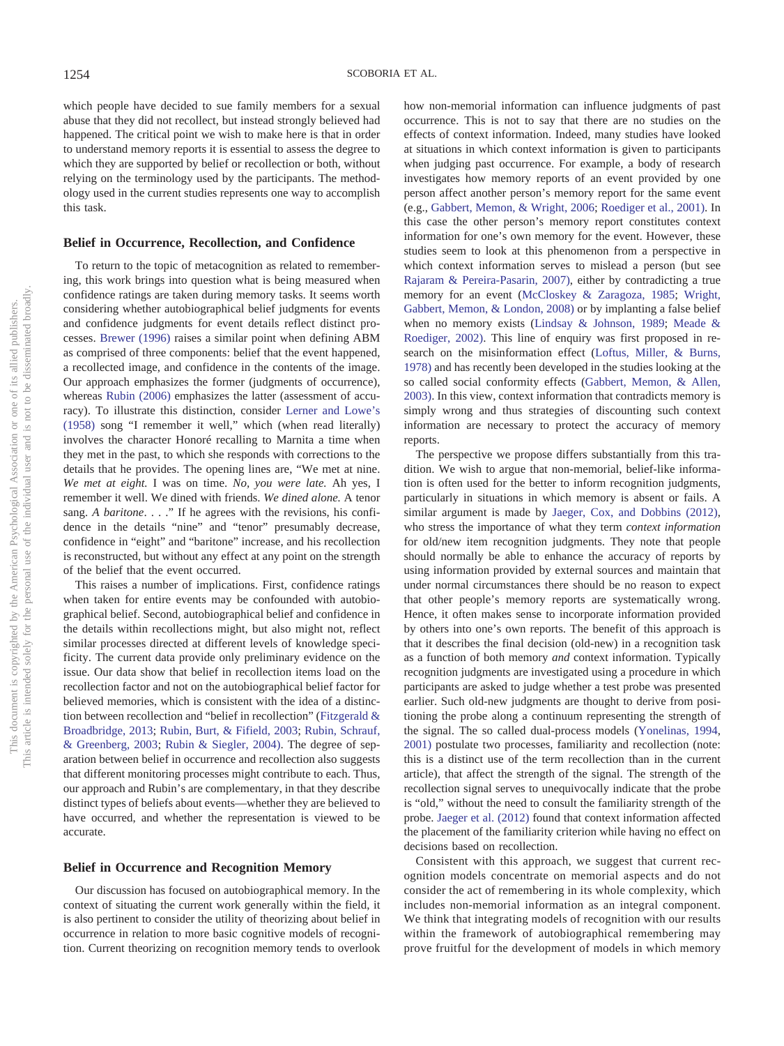which people have decided to sue family members for a sexual abuse that they did not recollect, but instead strongly believed had happened. The critical point we wish to make here is that in order to understand memory reports it is essential to assess the degree to which they are supported by belief or recollection or both, without relying on the terminology used by the participants. The methodology used in the current studies represents one way to accomplish this task.

### **Belief in Occurrence, Recollection, and Confidence**

To return to the topic of metacognition as related to remembering, this work brings into question what is being measured when confidence ratings are taken during memory tasks. It seems worth considering whether autobiographical belief judgments for events and confidence judgments for event details reflect distinct processes. [Brewer \(1996\)](#page-13-0) raises a similar point when defining ABM as comprised of three components: belief that the event happened, a recollected image, and confidence in the contents of the image. Our approach emphasizes the former (judgments of occurrence), whereas [Rubin \(2006\)](#page-15-0) emphasizes the latter (assessment of accuracy). To illustrate this distinction, consider [Lerner and Lowe's](#page-14-32) [\(1958\)](#page-14-32) song "I remember it well," which (when read literally) involves the character Honoré recalling to Marnita a time when they met in the past, to which she responds with corrections to the details that he provides. The opening lines are, "We met at nine. *We met at eight.* I was on time. *No, you were late.* Ah yes, I remember it well. We dined with friends. *We dined alone.* A tenor sang. *A baritone*. . . ." If he agrees with the revisions, his confidence in the details "nine" and "tenor" presumably decrease, confidence in "eight" and "baritone" increase, and his recollection is reconstructed, but without any effect at any point on the strength of the belief that the event occurred.

This raises a number of implications. First, confidence ratings when taken for entire events may be confounded with autobiographical belief. Second, autobiographical belief and confidence in the details within recollections might, but also might not, reflect similar processes directed at different levels of knowledge specificity. The current data provide only preliminary evidence on the issue. Our data show that belief in recollection items load on the recollection factor and not on the autobiographical belief factor for believed memories, which is consistent with the idea of a distinction between recollection and "belief in recollection" [\(Fitzgerald &](#page-14-33) [Broadbridge, 2013;](#page-14-33) [Rubin, Burt, & Fifield, 2003;](#page-15-36) [Rubin, Schrauf,](#page-15-27) [& Greenberg, 2003;](#page-15-27) [Rubin & Siegler, 2004\).](#page-15-28) The degree of separation between belief in occurrence and recollection also suggests that different monitoring processes might contribute to each. Thus, our approach and Rubin's are complementary, in that they describe distinct types of beliefs about events—whether they are believed to have occurred, and whether the representation is viewed to be accurate.

#### **Belief in Occurrence and Recognition Memory**

Our discussion has focused on autobiographical memory. In the context of situating the current work generally within the field, it is also pertinent to consider the utility of theorizing about belief in occurrence in relation to more basic cognitive models of recognition. Current theorizing on recognition memory tends to overlook

how non-memorial information can influence judgments of past occurrence. This is not to say that there are no studies on the effects of context information. Indeed, many studies have looked at situations in which context information is given to participants when judging past occurrence. For example, a body of research investigates how memory reports of an event provided by one person affect another person's memory report for the same event (e.g., [Gabbert, Memon, & Wright, 2006;](#page-14-34) [Roediger et al., 2001\).](#page-15-35) In this case the other person's memory report constitutes context information for one's own memory for the event. However, these studies seem to look at this phenomenon from a perspective in which context information serves to mislead a person (but see [Rajaram & Pereira-Pasarin, 2007\),](#page-15-37) either by contradicting a true memory for an event [\(McCloskey & Zaragoza, 1985;](#page-15-38) [Wright,](#page-16-5) [Gabbert, Memon, & London, 2008\)](#page-16-5) or by implanting a false belief when no memory exists [\(Lindsay & Johnson, 1989;](#page-14-35) [Meade &](#page-15-19) [Roediger, 2002\).](#page-15-19) This line of enquiry was first proposed in research on the misinformation effect [\(Loftus, Miller, & Burns,](#page-14-36) [1978\)](#page-14-36) and has recently been developed in the studies looking at the so called social conformity effects [\(Gabbert, Memon, & Allen,](#page-14-37) [2003\).](#page-14-37) In this view, context information that contradicts memory is simply wrong and thus strategies of discounting such context information are necessary to protect the accuracy of memory reports.

The perspective we propose differs substantially from this tradition. We wish to argue that non-memorial, belief-like information is often used for the better to inform recognition judgments, particularly in situations in which memory is absent or fails. A similar argument is made by [Jaeger, Cox, and Dobbins \(2012\),](#page-14-38) who stress the importance of what they term *context information* for old/new item recognition judgments. They note that people should normally be able to enhance the accuracy of reports by using information provided by external sources and maintain that under normal circumstances there should be no reason to expect that other people's memory reports are systematically wrong. Hence, it often makes sense to incorporate information provided by others into one's own reports. The benefit of this approach is that it describes the final decision (old-new) in a recognition task as a function of both memory *and* context information. Typically recognition judgments are investigated using a procedure in which participants are asked to judge whether a test probe was presented earlier. Such old-new judgments are thought to derive from positioning the probe along a continuum representing the strength of the signal. The so called dual-process models [\(Yonelinas, 1994,](#page-16-6) [2001\)](#page-16-7) postulate two processes, familiarity and recollection (note: this is a distinct use of the term recollection than in the current article), that affect the strength of the signal. The strength of the recollection signal serves to unequivocally indicate that the probe is "old," without the need to consult the familiarity strength of the probe. [Jaeger et al. \(2012\)](#page-14-38) found that context information affected the placement of the familiarity criterion while having no effect on decisions based on recollection.

Consistent with this approach, we suggest that current recognition models concentrate on memorial aspects and do not consider the act of remembering in its whole complexity, which includes non-memorial information as an integral component. We think that integrating models of recognition with our results within the framework of autobiographical remembering may prove fruitful for the development of models in which memory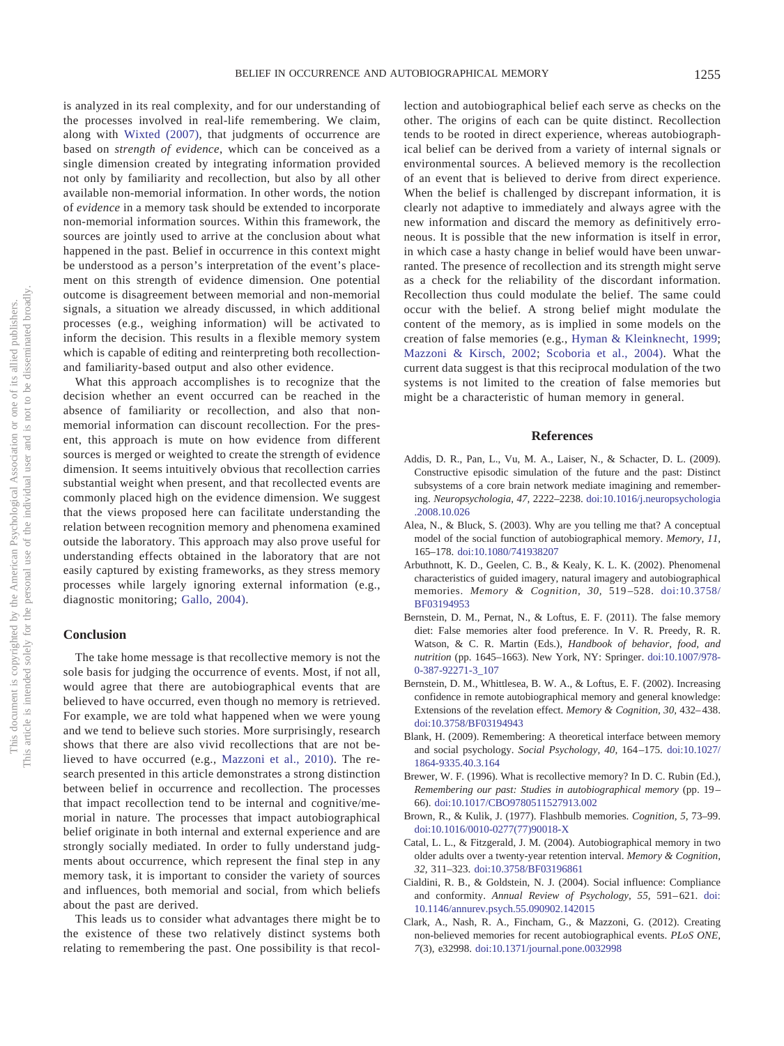is analyzed in its real complexity, and for our understanding of the processes involved in real-life remembering. We claim, along with [Wixted \(2007\),](#page-16-8) that judgments of occurrence are based on *strength of evidence*, which can be conceived as a single dimension created by integrating information provided not only by familiarity and recollection, but also by all other available non-memorial information. In other words, the notion of *evidence* in a memory task should be extended to incorporate non-memorial information sources. Within this framework, the sources are jointly used to arrive at the conclusion about what happened in the past. Belief in occurrence in this context might be understood as a person's interpretation of the event's placement on this strength of evidence dimension. One potential outcome is disagreement between memorial and non-memorial signals, a situation we already discussed, in which additional processes (e.g., weighing information) will be activated to inform the decision. This results in a flexible memory system which is capable of editing and reinterpreting both recollectionand familiarity-based output and also other evidence.

What this approach accomplishes is to recognize that the decision whether an event occurred can be reached in the absence of familiarity or recollection, and also that nonmemorial information can discount recollection. For the present, this approach is mute on how evidence from different sources is merged or weighted to create the strength of evidence dimension. It seems intuitively obvious that recollection carries substantial weight when present, and that recollected events are commonly placed high on the evidence dimension. We suggest that the views proposed here can facilitate understanding the relation between recognition memory and phenomena examined outside the laboratory. This approach may also prove useful for understanding effects obtained in the laboratory that are not easily captured by existing frameworks, as they stress memory processes while largely ignoring external information (e.g., diagnostic monitoring; [Gallo, 2004\).](#page-14-39)

# **Conclusion**

This document is copyrighted by the American Psychological

This article is intended solely for the personal

The take home message is that recollective memory is not the sole basis for judging the occurrence of events. Most, if not all, would agree that there are autobiographical events that are believed to have occurred, even though no memory is retrieved. For example, we are told what happened when we were young and we tend to believe such stories. More surprisingly, research shows that there are also vivid recollections that are not believed to have occurred (e.g., [Mazzoni et al., 2010\).](#page-15-1) The research presented in this article demonstrates a strong distinction between belief in occurrence and recollection. The processes that impact recollection tend to be internal and cognitive/memorial in nature. The processes that impact autobiographical belief originate in both internal and external experience and are strongly socially mediated. In order to fully understand judgments about occurrence, which represent the final step in any memory task, it is important to consider the variety of sources and influences, both memorial and social, from which beliefs about the past are derived.

This leads us to consider what advantages there might be to the existence of these two relatively distinct systems both relating to remembering the past. One possibility is that recol-

lection and autobiographical belief each serve as checks on the other. The origins of each can be quite distinct. Recollection tends to be rooted in direct experience, whereas autobiographical belief can be derived from a variety of internal signals or environmental sources. A believed memory is the recollection of an event that is believed to derive from direct experience. When the belief is challenged by discrepant information, it is clearly not adaptive to immediately and always agree with the new information and discard the memory as definitively erroneous. It is possible that the new information is itself in error, in which case a hasty change in belief would have been unwarranted. The presence of recollection and its strength might serve as a check for the reliability of the discordant information. Recollection thus could modulate the belief. The same could occur with the belief. A strong belief might modulate the content of the memory, as is implied in some models on the creation of false memories (e.g., [Hyman & Kleinknecht, 1999;](#page-14-40) [Mazzoni & Kirsch, 2002;](#page-15-10) [Scoboria et al., 2004\).](#page-15-3) What the current data suggest is that this reciprocal modulation of the two systems is not limited to the creation of false memories but might be a characteristic of human memory in general.

# **References**

- <span id="page-13-5"></span>Addis, D. R., Pan, L., Vu, M. A., Laiser, N., & Schacter, D. L. (2009). Constructive episodic simulation of the future and the past: Distinct subsystems of a core brain network mediate imagining and remembering. *Neuropsychologia, 47,* 2222–2238. [doi:10.1016/j.neuropsychologia](http://dx.doi.org/10.1016/j.neuropsychologia.2008.10.026) [.2008.10.026](http://dx.doi.org/10.1016/j.neuropsychologia.2008.10.026)
- <span id="page-13-8"></span>Alea, N., & Bluck, S. (2003). Why are you telling me that? A conceptual model of the social function of autobiographical memory. *Memory, 11,* 165–178. [doi:10.1080/741938207](http://dx.doi.org/10.1080/741938207)
- <span id="page-13-3"></span>Arbuthnott, K. D., Geelen, C. B., & Kealy, K. L. K. (2002). Phenomenal characteristics of guided imagery, natural imagery and autobiographical memories. *Memory & Cognition, 30,* 519 –528. [doi:10.3758/](http://dx.doi.org/10.3758/BF03194953) [BF03194953](http://dx.doi.org/10.3758/BF03194953)
- <span id="page-13-4"></span>Bernstein, D. M., Pernat, N., & Loftus, E. F. (2011). The false memory diet: False memories alter food preference. In V. R. Preedy, R. R. Watson, & C. R. Martin (Eds.), *Handbook of behavior, food, and nutrition* (pp. 1645–1663). New York, NY: Springer. [doi:10.1007/978-](http://dx.doi.org/10.1007/978-0-387-92271-3_107) [0-387-92271-3\\_107](http://dx.doi.org/10.1007/978-0-387-92271-3_107)
- <span id="page-13-6"></span>Bernstein, D. M., Whittlesea, B. W. A., & Loftus, E. F. (2002). Increasing confidence in remote autobiographical memory and general knowledge: Extensions of the revelation effect. *Memory & Cognition, 30, 432-438*. [doi:10.3758/BF03194943](http://dx.doi.org/10.3758/BF03194943)
- <span id="page-13-9"></span>Blank, H. (2009). Remembering: A theoretical interface between memory and social psychology. *Social Psychology, 40,* 164 –175. [doi:10.1027/](http://dx.doi.org/10.1027/1864-9335.40.3.164) [1864-9335.40.3.164](http://dx.doi.org/10.1027/1864-9335.40.3.164)
- <span id="page-13-0"></span>Brewer, W. F. (1996). What is recollective memory? In D. C. Rubin (Ed.), *Remembering our past: Studies in autobiographical memory* (pp. 19 – 66). [doi:10.1017/CBO9780511527913.002](http://dx.doi.org/10.1017/CBO9780511527913.002)
- <span id="page-13-2"></span>Brown, R., & Kulik, J. (1977). Flashbulb memories. *Cognition, 5,* 73–99. [doi:10.1016/0010-0277\(77\)90018-X](http://dx.doi.org/10.1016/0010-0277%2877%2990018-X)
- <span id="page-13-10"></span>Catal, L. L., & Fitzgerald, J. M. (2004). Autobiographical memory in two older adults over a twenty-year retention interval. *Memory & Cognition, 32,* 311–323. [doi:10.3758/BF03196861](http://dx.doi.org/10.3758/BF03196861)
- <span id="page-13-7"></span>Cialdini, R. B., & Goldstein, N. J. (2004). Social influence: Compliance and conformity. Annual Review of Psychology, 55, 591-621. [doi:](http://dx.doi.org/10.1146/annurev.psych.55.090902.142015) [10.1146/annurev.psych.55.090902.142015](http://dx.doi.org/10.1146/annurev.psych.55.090902.142015)
- <span id="page-13-1"></span>Clark, A., Nash, R. A., Fincham, G., & Mazzoni, G. (2012). Creating non-believed memories for recent autobiographical events. *PLoS ONE, 7*(3), e32998. [doi:10.1371/journal.pone.0032998](http://dx.doi.org/10.1371/journal.pone.0032998)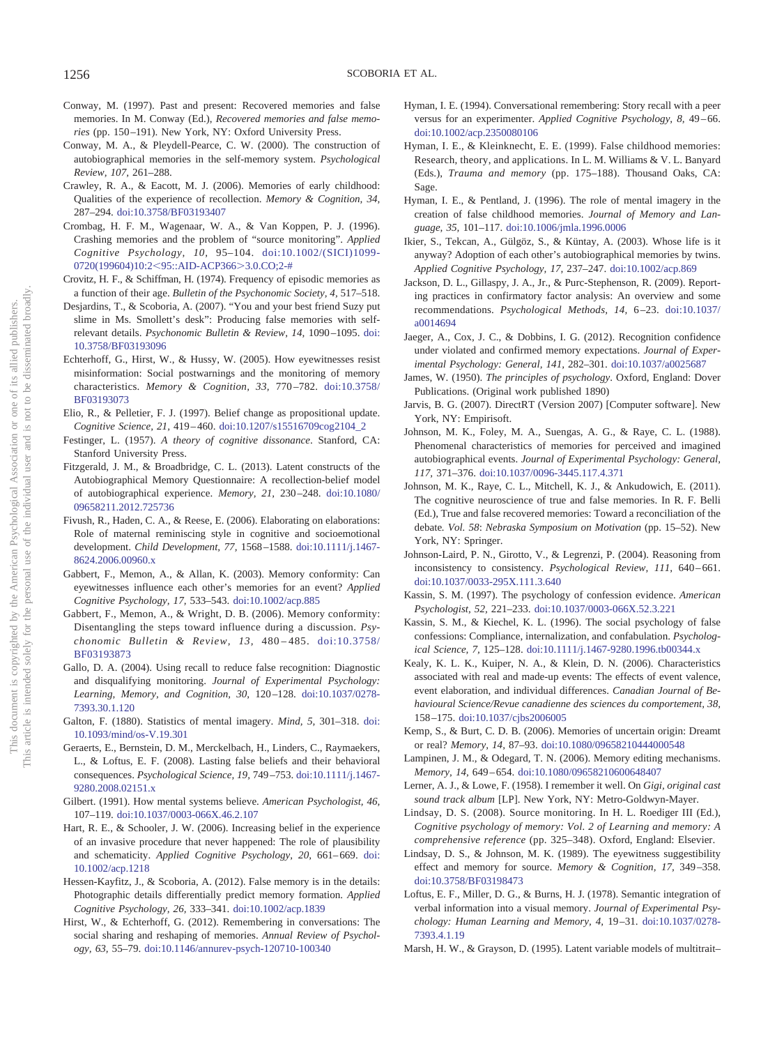- <span id="page-14-23"></span>Conway, M. (1997). Past and present: Recovered memories and false memories. In M. Conway (Ed.), *Recovered memories and false memories* (pp. 150 –191). New York, NY: Oxford University Press.
- <span id="page-14-30"></span>Conway, M. A., & Pleydell-Pearce, C. W. (2000). The construction of autobiographical memories in the self-memory system. *Psychological Review, 107,* 261–288.
- <span id="page-14-6"></span>Crawley, R. A., & Eacott, M. J. (2006). Memories of early childhood: Qualities of the experience of recollection. *Memory & Cognition, 34,* 287–294. [doi:10.3758/BF03193407](http://dx.doi.org/10.3758/BF03193407)
- <span id="page-14-31"></span>Crombag, H. F. M., Wagenaar, W. A., & Van Koppen, P. J. (1996). Crashing memories and the problem of "source monitoring". *Applied Cognitive Psychology, 10,* 95–104. [doi:10.1002/\(SICI\)1099-](http://dx.doi.org/10.1002/%28SICI%291099-0720%28199604%2910:2%3C95::AID-ACP366%3E3.0.CO;2-#) [0720\(199604\)10:2](http://dx.doi.org/10.1002/%28SICI%291099-0720%28199604%2910:2%3C95::AID-ACP366%3E3.0.CO;2-#)<95::AID-ACP366>3.0.CO;2-#
- <span id="page-14-3"></span>Crovitz, H. F., & Schiffman, H. (1974). Frequency of episodic memories as a function of their age. *Bulletin of the Psychonomic Society, 4,* 517–518.
- <span id="page-14-9"></span>Desjardins, T., & Scoboria, A. (2007). "You and your best friend Suzy put slime in Ms. Smollett's desk": Producing false memories with selfrelevant details. *Psychonomic Bulletin & Review, 14, 1090-1095*. [doi:](http://dx.doi.org/10.3758/BF03193096) [10.3758/BF03193096](http://dx.doi.org/10.3758/BF03193096)
- <span id="page-14-8"></span>Echterhoff, G., Hirst, W., & Hussy, W. (2005). How eyewitnesses resist misinformation: Social postwarnings and the monitoring of memory characteristics. *Memory & Cognition, 33,* 770 –782. [doi:10.3758/](http://dx.doi.org/10.3758/BF03193073) [BF03193073](http://dx.doi.org/10.3758/BF03193073)
- <span id="page-14-20"></span>Elio, R., & Pelletier, F. J. (1997). Belief change as propositional update. *Cognitive Science, 21,* 419 – 460. [doi:10.1207/s15516709cog2104\\_2](http://dx.doi.org/10.1207/s15516709cog2104_2)
- <span id="page-14-22"></span>Festinger, L. (1957). *A theory of cognitive dissonance*. Stanford, CA: Stanford University Press.
- <span id="page-14-33"></span>Fitzgerald, J. M., & Broadbridge, C. L. (2013). Latent constructs of the Autobiographical Memory Questionnaire: A recollection-belief model of autobiographical experience. *Memory, 21,* 230 –248. [doi:10.1080/](http://dx.doi.org/10.1080/09658211.2012.725736) [09658211.2012.725736](http://dx.doi.org/10.1080/09658211.2012.725736)
- <span id="page-14-29"></span>Fivush, R., Haden, C. A., & Reese, E. (2006). Elaborating on elaborations: Role of maternal reminiscing style in cognitive and socioemotional development. *Child Development, 77,* 1568 –1588. [doi:10.1111/j.1467-](http://dx.doi.org/10.1111/j.1467-8624.2006.00960.x) [8624.2006.00960.x](http://dx.doi.org/10.1111/j.1467-8624.2006.00960.x)
- <span id="page-14-37"></span>Gabbert, F., Memon, A., & Allan, K. (2003). Memory conformity: Can eyewitnesses influence each other's memories for an event? *Applied Cognitive Psychology, 17,* 533–543. [doi:10.1002/acp.885](http://dx.doi.org/10.1002/acp.885)
- <span id="page-14-34"></span>Gabbert, F., Memon, A., & Wright, D. B. (2006). Memory conformity: Disentangling the steps toward influence during a discussion. *Psychonomic Bulletin & Review, 13,* 480 – 485. [doi:10.3758/](http://dx.doi.org/10.3758/BF03193873) [BF03193873](http://dx.doi.org/10.3758/BF03193873)
- <span id="page-14-39"></span>Gallo, D. A. (2004). Using recall to reduce false recognition: Diagnostic and disqualifying monitoring. *Journal of Experimental Psychology: Learning, Memory, and Cognition, 30,* 120 –128. [doi:10.1037/0278-](http://dx.doi.org/10.1037/0278-7393.30.1.120) [7393.30.1.120](http://dx.doi.org/10.1037/0278-7393.30.1.120)
- <span id="page-14-0"></span>Galton, F. (1880). Statistics of mental imagery. *Mind, 5,* 301–318. [doi:](http://dx.doi.org/10.1093/mind/os-V.19.301) [10.1093/mind/os-V.19.301](http://dx.doi.org/10.1093/mind/os-V.19.301)
- <span id="page-14-14"></span>Geraerts, E., Bernstein, D. M., Merckelbach, H., Linders, C., Raymaekers, L., & Loftus, E. F. (2008). Lasting false beliefs and their behavioral consequences. *Psychological Science, 19,* 749 –753. [doi:10.1111/j.1467-](http://dx.doi.org/10.1111/j.1467-9280.2008.02151.x) [9280.2008.02151.x](http://dx.doi.org/10.1111/j.1467-9280.2008.02151.x)
- <span id="page-14-24"></span>Gilbert. (1991). How mental systems believe. *American Psychologist, 46,* 107–119. [doi:10.1037/0003-066X.46.2.107](http://dx.doi.org/10.1037/0003-066X.46.2.107)
- <span id="page-14-7"></span>Hart, R. E., & Schooler, J. W. (2006). Increasing belief in the experience of an invasive procedure that never happened: The role of plausibility and schematicity. *Applied Cognitive Psychology, 20, 661-669.* [doi:](http://dx.doi.org/10.1002/acp.1218) [10.1002/acp.1218](http://dx.doi.org/10.1002/acp.1218)
- <span id="page-14-10"></span>Hessen-Kayfitz, J., & Scoboria, A. (2012). False memory is in the details: Photographic details differentially predict memory formation. *Applied Cognitive Psychology, 26,* 333–341. [doi:10.1002/acp.1839](http://dx.doi.org/10.1002/acp.1839)
- <span id="page-14-28"></span>Hirst, W., & Echterhoff, G. (2012). Remembering in conversations: The social sharing and reshaping of memories. *Annual Review of Psychology, 63,* 55–79. [doi:10.1146/annurev-psych-120710-100340](http://dx.doi.org/10.1146/annurev-psych-120710-100340)
- <span id="page-14-26"></span>Hyman, I. E. (1994). Conversational remembering: Story recall with a peer versus for an experimenter. *Applied Cognitive Psychology, 8,* 49 – 66. [doi:10.1002/acp.2350080106](http://dx.doi.org/10.1002/acp.2350080106)
- <span id="page-14-40"></span>Hyman, I. E., & Kleinknecht, E. E. (1999). False childhood memories: Research, theory, and applications. In L. M. Williams & V. L. Banyard (Eds.), *Trauma and memory* (pp. 175–188). Thousand Oaks, CA: Sage.
- <span id="page-14-11"></span>Hyman, I. E., & Pentland, J. (1996). The role of mental imagery in the creation of false childhood memories. *Journal of Memory and Language, 35,* 101–117. [doi:10.1006/jmla.1996.0006](http://dx.doi.org/10.1006/jmla.1996.0006)
- <span id="page-14-13"></span>Ikier, S., Tekcan, A., Gülgöz, S., & Küntay, A. (2003). Whose life is it anyway? Adoption of each other's autobiographical memories by twins. *Applied Cognitive Psychology, 17,* 237–247. [doi:10.1002/acp.869](http://dx.doi.org/10.1002/acp.869)
- <span id="page-14-16"></span>Jackson, D. L., Gillaspy, J. A., Jr., & Purc-Stephenson, R. (2009). Reporting practices in confirmatory factor analysis: An overview and some recommendations. *Psychological Methods, 14,* 6 –23. [doi:10.1037/](http://dx.doi.org/10.1037/a0014694) [a0014694](http://dx.doi.org/10.1037/a0014694)
- <span id="page-14-38"></span>Jaeger, A., Cox, J. C., & Dobbins, I. G. (2012). Recognition confidence under violated and confirmed memory expectations. *Journal of Experimental Psychology: General, 141,* 282–301. [doi:10.1037/a0025687](http://dx.doi.org/10.1037/a0025687)
- <span id="page-14-1"></span>James, W. (1950). *The principles of psychology*. Oxford, England: Dover Publications. (Original work published 1890)
- <span id="page-14-15"></span>Jarvis, B. G. (2007). DirectRT (Version 2007) [Computer software]. New York, NY: Empirisoft.
- <span id="page-14-4"></span>Johnson, M. K., Foley, M. A., Suengas, A. G., & Raye, C. L. (1988). Phenomenal characteristics of memories for perceived and imagined autobiographical events. *Journal of Experimental Psychology: General, 117,* 371–376. [doi:10.1037/0096-3445.117.4.371](http://dx.doi.org/10.1037/0096-3445.117.4.371)
- <span id="page-14-19"></span>Johnson, M. K., Raye, C. L., Mitchell, K. J., & Ankudowich, E. (2011). The cognitive neuroscience of true and false memories. In R. F. Belli (Ed.), True and false recovered memories: Toward a reconciliation of the debate*. Vol. 58*: *Nebraska Symposium on Motivation* (pp. 15–52). New York, NY: Springer.
- <span id="page-14-21"></span>Johnson-Laird, P. N., Girotto, V., & Legrenzi, P. (2004). Reasoning from inconsistency to consistency. *Psychological Review, 111,* 640-661. [doi:10.1037/0033-295X.111.3.640](http://dx.doi.org/10.1037/0033-295X.111.3.640)
- <span id="page-14-27"></span>Kassin, S. M. (1997). The psychology of confession evidence. *American Psychologist, 52,* 221–233. [doi:10.1037/0003-066X.52.3.221](http://dx.doi.org/10.1037/0003-066X.52.3.221)
- <span id="page-14-12"></span>Kassin, S. M., & Kiechel, K. L. (1996). The social psychology of false confessions: Compliance, internalization, and confabulation. *Psychological Science, 7,* 125–128. [doi:10.1111/j.1467-9280.1996.tb00344.x](http://dx.doi.org/10.1111/j.1467-9280.1996.tb00344.x)
- <span id="page-14-5"></span>Kealy, K. L. K., Kuiper, N. A., & Klein, D. N. (2006). Characteristics associated with real and made-up events: The effects of event valence, event elaboration, and individual differences. *Canadian Journal of Behavioural Science/Revue canadienne des sciences du comportement, 38,* 158 –175. [doi:10.1037/cjbs2006005](http://dx.doi.org/10.1037/cjbs2006005)
- <span id="page-14-25"></span>Kemp, S., & Burt, C. D. B. (2006). Memories of uncertain origin: Dreamt or real? *Memory, 14,* 87–93. [doi:10.1080/09658210444000548](http://dx.doi.org/10.1080/09658210444000548)
- <span id="page-14-2"></span>Lampinen, J. M., & Odegard, T. N. (2006). Memory editing mechanisms. *Memory, 14,* 649 – 654. [doi:10.1080/09658210600648407](http://dx.doi.org/10.1080/09658210600648407)
- <span id="page-14-32"></span>Lerner, A. J., & Lowe, F. (1958). I remember it well. On *Gigi, original cast sound track album* [LP]. New York, NY: Metro-Goldwyn-Mayer.
- <span id="page-14-18"></span>Lindsay, D. S. (2008). Source monitoring. In H. L. Roediger III (Ed.), *Cognitive psychology of memory: Vol. 2 of Learning and memory: A comprehensive reference* (pp. 325–348). Oxford, England: Elsevier.
- <span id="page-14-35"></span>Lindsay, D. S., & Johnson, M. K. (1989). The eyewitness suggestibility effect and memory for source. *Memory & Cognition, 17,* 349 –358. [doi:10.3758/BF03198473](http://dx.doi.org/10.3758/BF03198473)
- <span id="page-14-36"></span>Loftus, E. F., Miller, D. G., & Burns, H. J. (1978). Semantic integration of verbal information into a visual memory. *Journal of Experimental Psychology: Human Learning and Memory, 4,* 19 –31. [doi:10.1037/0278-](http://dx.doi.org/10.1037/0278-7393.4.1.19) [7393.4.1.19](http://dx.doi.org/10.1037/0278-7393.4.1.19)
- <span id="page-14-17"></span>Marsh, H. W., & Grayson, D. (1995). Latent variable models of multitrait–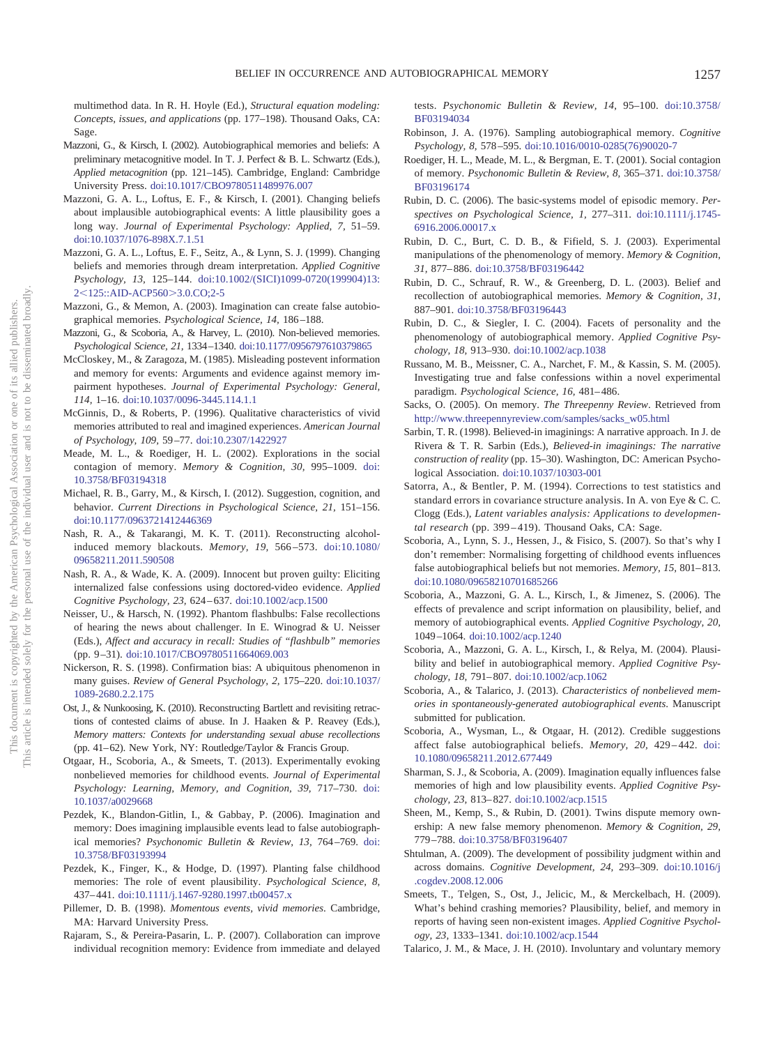multimethod data. In R. H. Hoyle (Ed.), *Structural equation modeling: Concepts, issues, and applications* (pp. 177–198). Thousand Oaks, CA: Sage.

- <span id="page-15-10"></span>Mazzoni, G., & Kirsch, I. (2002). Autobiographical memories and beliefs: A preliminary metacognitive model. In T. J. Perfect & B. L. Schwartz (Eds.), *Applied metacognition* (pp. 121–145). Cambridge, England: Cambridge University Press. [doi:10.1017/CBO9780511489976.007](http://dx.doi.org/10.1017/CBO9780511489976.007)
- <span id="page-15-12"></span>Mazzoni, G. A. L., Loftus, E. F., & Kirsch, I. (2001). Changing beliefs about implausible autobiographical events: A little plausibility goes a long way. *Journal of Experimental Psychology: Applied, 7,* 51–59. [doi:10.1037/1076-898X.7.1.51](http://dx.doi.org/10.1037/1076-898X.7.1.51)
- <span id="page-15-14"></span>Mazzoni, G. A. L., Loftus, E. F., Seitz, A., & Lynn, S. J. (1999). Changing beliefs and memories through dream interpretation. *Applied Cognitive Psychology, 13,* 125–144. [doi:10.1002/\(SICI\)1099-0720\(199904\)13:](http://dx.doi.org/10.1002/%28SICI%291099-0720%28199904%2913:2%3C125::AID-ACP560%3E3.0.CO;2-5) 2<[125::AID-ACP560](http://dx.doi.org/10.1002/%28SICI%291099-0720%28199904%2913:2%3C125::AID-ACP560%3E3.0.CO;2-5)>3.0.CO;2-5
- <span id="page-15-21"></span>Mazzoni, G., & Memon, A. (2003). Imagination can create false autobiographical memories. *Psychological Science, 14,* 186 –188.
- <span id="page-15-1"></span>Mazzoni, G., & Scoboria, A., & Harvey, L. (2010). Non-believed memories. *Psychological Science, 21,* 1334 –1340. [doi:10.1177/0956797610379865](http://dx.doi.org/10.1177/0956797610379865)
- <span id="page-15-38"></span>McCloskey, M., & Zaragoza, M. (1985). Misleading postevent information and memory for events: Arguments and evidence against memory impairment hypotheses. *Journal of Experimental Psychology: General, 114,* 1–16. [doi:10.1037/0096-3445.114.1.1](http://dx.doi.org/10.1037/0096-3445.114.1.1)
- <span id="page-15-11"></span>McGinnis, D., & Roberts, P. (1996). Qualitative characteristics of vivid memories attributed to real and imagined experiences. *American Journal of Psychology, 109,* 59 –77. [doi:10.2307/1422927](http://dx.doi.org/10.2307/1422927)
- <span id="page-15-19"></span>Meade, M. L., & Roediger, H. L. (2002). Explorations in the social contagion of memory. *Memory & Cognition, 30,* 995–1009. [doi:](http://dx.doi.org/10.3758/BF03194318) [10.3758/BF03194318](http://dx.doi.org/10.3758/BF03194318)
- <span id="page-15-31"></span>Michael, R. B., Garry, M., & Kirsch, I. (2012). Suggestion, cognition, and behavior. *Current Directions in Psychological Science, 21,* 151–156. [doi:10.1177/0963721412446369](http://dx.doi.org/10.1177/0963721412446369)
- <span id="page-15-24"></span>Nash, R. A., & Takarangi, M. K. T. (2011). Reconstructing alcoholinduced memory blackouts. *Memory, 19,* 566 –573. [doi:10.1080/](http://dx.doi.org/10.1080/09658211.2011.590508) [09658211.2011.590508](http://dx.doi.org/10.1080/09658211.2011.590508)
- <span id="page-15-22"></span>Nash, R. A., & Wade, K. A. (2009). Innocent but proven guilty: Eliciting internalized false confessions using doctored-video evidence. *Applied Cognitive Psychology, 23,* 624 – 637. [doi:10.1002/acp.1500](http://dx.doi.org/10.1002/acp.1500)
- <span id="page-15-7"></span>Neisser, U., & Harsch, N. (1992). Phantom flashbulbs: False recollections of hearing the news about challenger. In E. Winograd & U. Neisser (Eds.), *Affect and accuracy in recall: Studies of "flashbulb" memories* (pp. 9 –31). [doi:10.1017/CBO9780511664069.003](http://dx.doi.org/10.1017/CBO9780511664069.003)
- <span id="page-15-30"></span>Nickerson, R. S. (1998). Confirmation bias: A ubiquitous phenomenon in many guises. *Review of General Psychology, 2,* 175–220. [doi:10.1037/](http://dx.doi.org/10.1037/1089-2680.2.2.175) [1089-2680.2.2.175](http://dx.doi.org/10.1037/1089-2680.2.2.175)
- <span id="page-15-26"></span>Ost, J., & Nunkoosing, K. (2010). Reconstructing Bartlett and revisiting retractions of contested claims of abuse. In J. Haaken & P. Reavey (Eds.), *Memory matters: Contexts for understanding sexual abuse recollections* (pp. 41–62). New York, NY: Routledge/Taylor & Francis Group.
- <span id="page-15-2"></span>Otgaar, H., Scoboria, A., & Smeets, T. (2013). Experimentally evoking nonbelieved memories for childhood events. *Journal of Experimental Psychology: Learning, Memory, and Cognition, 39,* 717–730. [doi:](http://dx.doi.org/10.1037/a0029668) [10.1037/a0029668](http://dx.doi.org/10.1037/a0029668)
- <span id="page-15-15"></span>Pezdek, K., Blandon-Gitlin, I., & Gabbay, P. (2006). Imagination and memory: Does imagining implausible events lead to false autobiographical memories? *Psychonomic Bulletin & Review, 13,* 764 –769. [doi:](http://dx.doi.org/10.3758/BF03193994) [10.3758/BF03193994](http://dx.doi.org/10.3758/BF03193994)
- <span id="page-15-13"></span>Pezdek, K., Finger, K., & Hodge, D. (1997). Planting false childhood memories: The role of event plausibility. *Psychological Science, 8,* 437– 441. [doi:10.1111/j.1467-9280.1997.tb00457.x](http://dx.doi.org/10.1111/j.1467-9280.1997.tb00457.x)
- <span id="page-15-4"></span>Pillemer, D. B. (1998). *Momentous events, vivid memories*. Cambridge, MA: Harvard University Press.
- <span id="page-15-37"></span>Rajaram, S., & Pereira-Pasarin, L. P. (2007). Collaboration can improve individual recognition memory: Evidence from immediate and delayed

tests. *Psychonomic Bulletin & Review, 14,* 95–100. [doi:10.3758/](http://dx.doi.org/10.3758/BF03194034) [BF03194034](http://dx.doi.org/10.3758/BF03194034)

- <span id="page-15-5"></span>Robinson, J. A. (1976). Sampling autobiographical memory. *Cognitive Psychology, 8,* 578 –595. [doi:10.1016/0010-0285\(76\)90020-7](http://dx.doi.org/10.1016/0010-0285%2876%2990020-7)
- <span id="page-15-35"></span>Roediger, H. L., Meade, M. L., & Bergman, E. T. (2001). Social contagion of memory. *Psychonomic Bulletin & Review, 8,* 365–371. [doi:10.3758/](http://dx.doi.org/10.3758/BF03196174) [BF03196174](http://dx.doi.org/10.3758/BF03196174)
- <span id="page-15-0"></span>Rubin, D. C. (2006). The basic-systems model of episodic memory. *Perspectives on Psychological Science, 1,* 277–311. [doi:10.1111/j.1745-](http://dx.doi.org/10.1111/j.1745-6916.2006.00017.x) [6916.2006.00017.x](http://dx.doi.org/10.1111/j.1745-6916.2006.00017.x)
- <span id="page-15-36"></span>Rubin, D. C., Burt, C. D. B., & Fifield, S. J. (2003). Experimental manipulations of the phenomenology of memory. *Memory & Cognition, 31,* 877– 886. [doi:10.3758/BF03196442](http://dx.doi.org/10.3758/BF03196442)
- <span id="page-15-27"></span>Rubin, D. C., Schrauf, R. W., & Greenberg, D. L. (2003). Belief and recollection of autobiographical memories. *Memory & Cognition, 31,* 887–901. [doi:10.3758/BF03196443](http://dx.doi.org/10.3758/BF03196443)
- <span id="page-15-28"></span>Rubin, D. C., & Siegler, I. C. (2004). Facets of personality and the phenomenology of autobiographical memory. *Applied Cognitive Psychology, 18,* 913–930. [doi:10.1002/acp.1038](http://dx.doi.org/10.1002/acp.1038)
- <span id="page-15-25"></span>Russano, M. B., Meissner, C. A., Narchet, F. M., & Kassin, S. M. (2005). Investigating true and false confessions within a novel experimental paradigm. *Psychological Science, 16,* 481– 486.
- <span id="page-15-32"></span>Sacks, O. (2005). On memory. *The Threepenny Review*. Retrieved from [http://www.threepennyreview.com/samples/sacks\\_w05.html](http://www.threepennyreview.com/samples/sacks_w05.html)
- <span id="page-15-33"></span>Sarbin, T. R. (1998). Believed-in imaginings: A narrative approach. In J. de Rivera & T. R. Sarbin (Eds.), *Believed-in imaginings: The narrative construction of reality* (pp. 15–30). Washington, DC: American Psychological Association. [doi:10.1037/10303-001](http://dx.doi.org/10.1037/10303-001)
- <span id="page-15-29"></span>Satorra, A., & Bentler, P. M. (1994). Corrections to test statistics and standard errors in covariance structure analysis. In A. von Eye & C. C. Clogg (Eds.), *Latent variables analysis: Applications to developmental research* (pp. 399 – 419). Thousand Oaks, CA: Sage.
- <span id="page-15-16"></span>Scoboria, A., Lynn, S. J., Hessen, J., & Fisico, S. (2007). So that's why I don't remember: Normalising forgetting of childhood events influences false autobiographical beliefs but not memories. Memory, 15, 801-813. [doi:10.1080/09658210701685266](http://dx.doi.org/10.1080/09658210701685266)
- <span id="page-15-18"></span>Scoboria, A., Mazzoni, G. A. L., Kirsch, I., & Jimenez, S. (2006). The effects of prevalence and script information on plausibility, belief, and memory of autobiographical events. *Applied Cognitive Psychology, 20,* 1049 –1064. [doi:10.1002/acp.1240](http://dx.doi.org/10.1002/acp.1240)
- <span id="page-15-3"></span>Scoboria, A., Mazzoni, G. A. L., Kirsch, I., & Relya, M. (2004). Plausibility and belief in autobiographical memory. *Applied Cognitive Psychology, 18,* 791– 807. [doi:10.1002/acp.1062](http://dx.doi.org/10.1002/acp.1062)
- <span id="page-15-8"></span>Scoboria, A., & Talarico, J. (2013). *Characteristics of nonbelieved memories in spontaneously-generated autobiographical events*. Manuscript submitted for publication.
- <span id="page-15-20"></span>Scoboria, A., Wysman, L., & Otgaar, H. (2012). Credible suggestions affect false autobiographical beliefs. *Memory, 20,* 429 – 442. [doi:](http://dx.doi.org/10.1080/09658211.2012.677449) [10.1080/09658211.2012.677449](http://dx.doi.org/10.1080/09658211.2012.677449)
- <span id="page-15-17"></span>Sharman, S. J., & Scoboria, A. (2009). Imagination equally influences false memories of high and low plausibility events. *Applied Cognitive Psychology, 23,* 813– 827. [doi:10.1002/acp.1515](http://dx.doi.org/10.1002/acp.1515)
- <span id="page-15-23"></span>Sheen, M., Kemp, S., & Rubin, D. (2001). Twins dispute memory ownership: A new false memory phenomenon. *Memory & Cognition, 29,* 779 –788. [doi:10.3758/BF03196407](http://dx.doi.org/10.3758/BF03196407)
- <span id="page-15-9"></span>Shtulman, A. (2009). The development of possibility judgment within and across domains. *Cognitive Development, 24,* 293–309. [doi:10.1016/j](http://dx.doi.org/10.1016/j.cogdev.2008.12.006) [.cogdev.2008.12.006](http://dx.doi.org/10.1016/j.cogdev.2008.12.006)
- <span id="page-15-34"></span>Smeets, T., Telgen, S., Ost, J., Jelicic, M., & Merckelbach, H. (2009). What's behind crashing memories? Plausibility, belief, and memory in reports of having seen non-existent images. *Applied Cognitive Psychology, 23,* 1333–1341. [doi:10.1002/acp.1544](http://dx.doi.org/10.1002/acp.1544)
- <span id="page-15-6"></span>Talarico, J. M., & Mace, J. H. (2010). Involuntary and voluntary memory